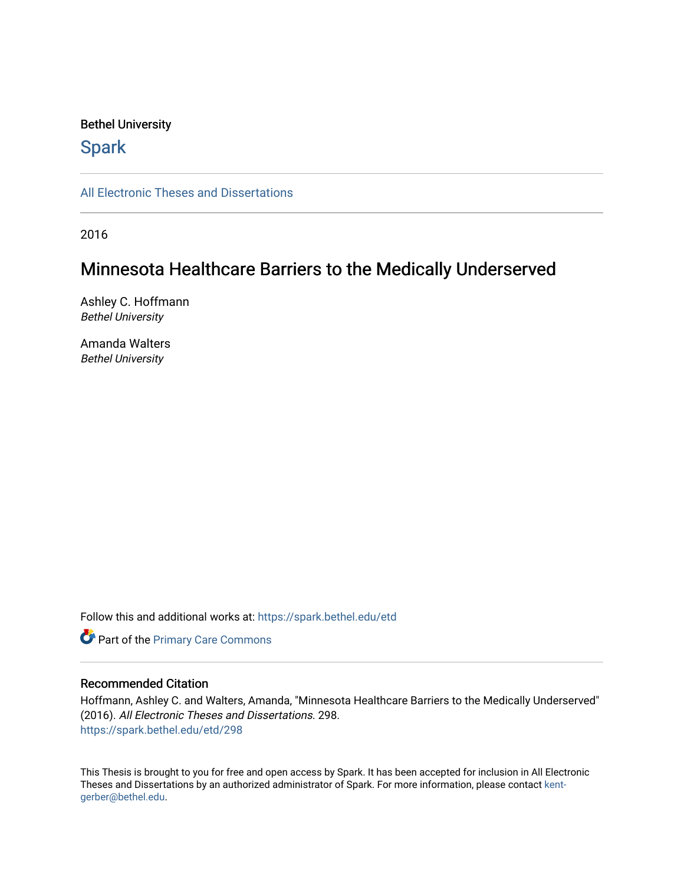## Bethel University

# **Spark**

[All Electronic Theses and Dissertations](https://spark.bethel.edu/etd) 

2016

# Minnesota Healthcare Barriers to the Medically Underserved

Ashley C. Hoffmann Bethel University

Amanda Walters Bethel University

Follow this and additional works at: [https://spark.bethel.edu/etd](https://spark.bethel.edu/etd?utm_source=spark.bethel.edu%2Fetd%2F298&utm_medium=PDF&utm_campaign=PDFCoverPages)

**Part of the [Primary Care Commons](http://network.bepress.com/hgg/discipline/1092?utm_source=spark.bethel.edu%2Fetd%2F298&utm_medium=PDF&utm_campaign=PDFCoverPages)** 

## Recommended Citation

Hoffmann, Ashley C. and Walters, Amanda, "Minnesota Healthcare Barriers to the Medically Underserved" (2016). All Electronic Theses and Dissertations. 298. [https://spark.bethel.edu/etd/298](https://spark.bethel.edu/etd/298?utm_source=spark.bethel.edu%2Fetd%2F298&utm_medium=PDF&utm_campaign=PDFCoverPages)

This Thesis is brought to you for free and open access by Spark. It has been accepted for inclusion in All Electronic Theses and Dissertations by an authorized administrator of Spark. For more information, please contact [kent](mailto:kent-gerber@bethel.edu)[gerber@bethel.edu.](mailto:kent-gerber@bethel.edu)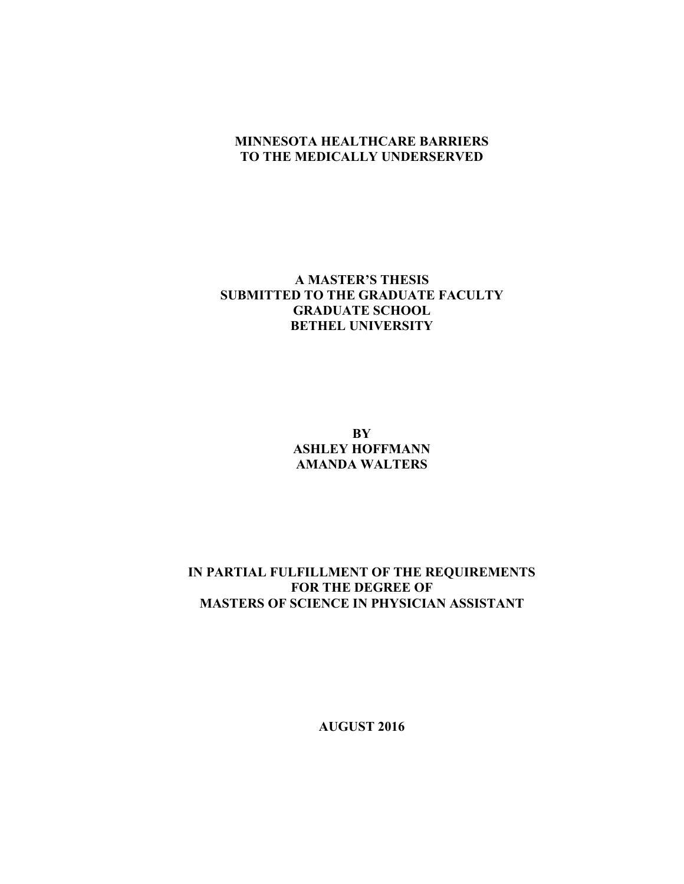## **MINNESOTA HEALTHCARE BARRIERS TO THE MEDICALLY UNDERSERVED**

## **A MASTER'S THESIS SUBMITTED TO THE GRADUATE FACULTY GRADUATE SCHOOL BETHEL UNIVERSITY**

**BY ASHLEY HOFFMANN AMANDA WALTERS**

## **IN PARTIAL FULFILLMENT OF THE REQUIREMENTS FOR THE DEGREE OF MASTERS OF SCIENCE IN PHYSICIAN ASSISTANT**

**AUGUST 2016**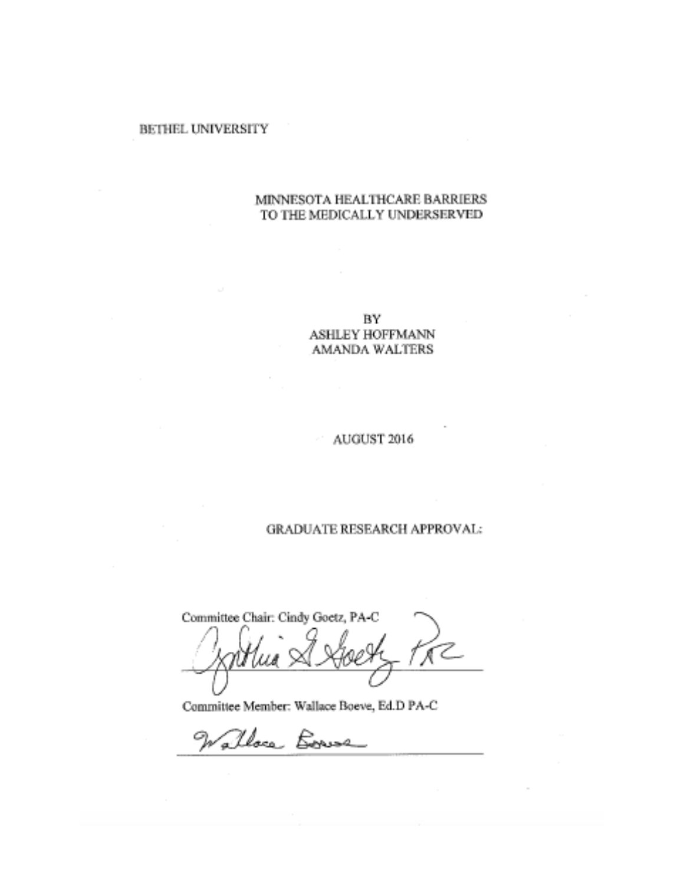## **BETHEL UNIVERSITY**

## MINNESOTA HEALTHCARE BARRIERS TO THE MEDICALLY UNDERSERVED

BY **ASHLEY HOFFMANN AMANDA WALTERS** 

## AUGUST 2016

## **GRADUATE RESEARCH APPROVAL:**

Committee Chair: Cindy Goetz, PA-C  $\pi$ 

Committee Member: Wallace Boeve, Ed.D PA-C

Walloca Bornse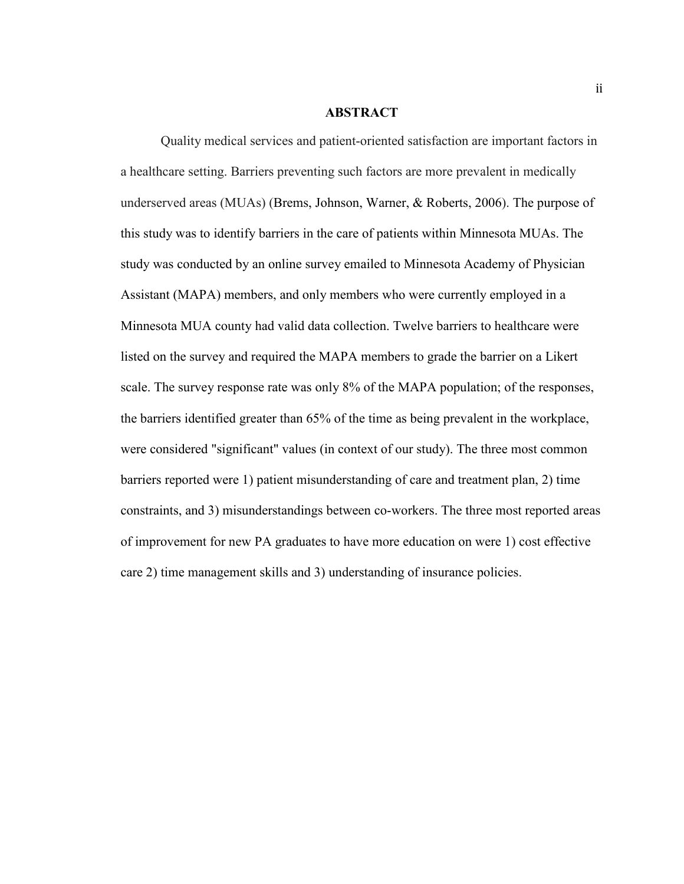## **ABSTRACT**

Quality medical services and patient-oriented satisfaction are important factors in a healthcare setting. Barriers preventing such factors are more prevalent in medically underserved areas (MUAs) (Brems, Johnson, Warner, & Roberts, 2006). The purpose of this study was to identify barriers in the care of patients within Minnesota MUAs. The study was conducted by an online survey emailed to Minnesota Academy of Physician Assistant (MAPA) members, and only members who were currently employed in a Minnesota MUA county had valid data collection. Twelve barriers to healthcare were listed on the survey and required the MAPA members to grade the barrier on a Likert scale. The survey response rate was only 8% of the MAPA population; of the responses, the barriers identified greater than 65% of the time as being prevalent in the workplace, were considered "significant" values (in context of our study). The three most common barriers reported were 1) patient misunderstanding of care and treatment plan, 2) time constraints, and 3) misunderstandings between co-workers. The three most reported areas of improvement for new PA graduates to have more education on were 1) cost effective care 2) time management skills and 3) understanding of insurance policies.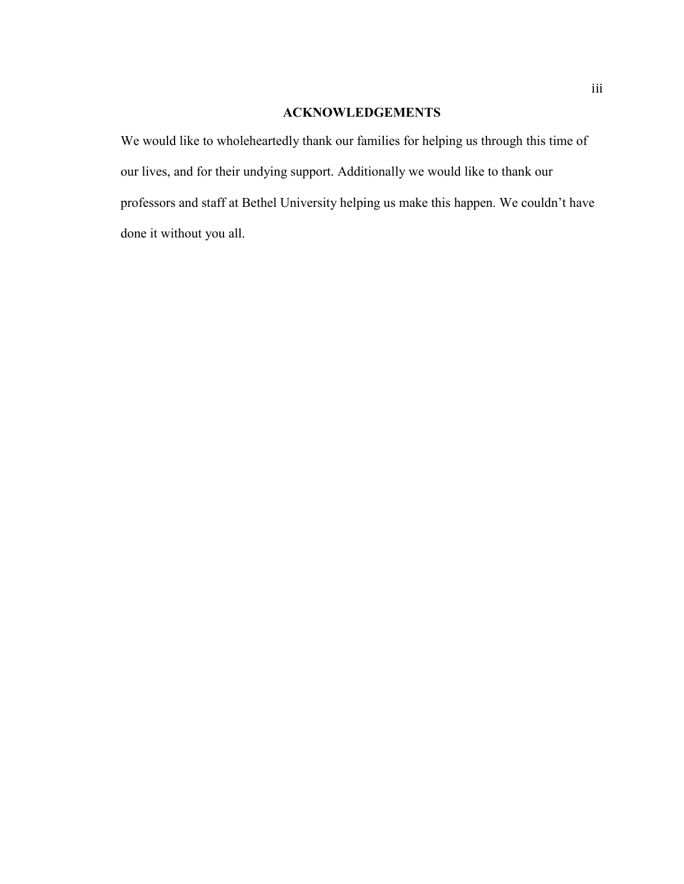# **ACKNOWLEDGEMENTS**

We would like to wholeheartedly thank our families for helping us through this time of our lives, and for their undying support. Additionally we would like to thank our professors and staff at Bethel University helping us make this happen. We couldn't have done it without you all.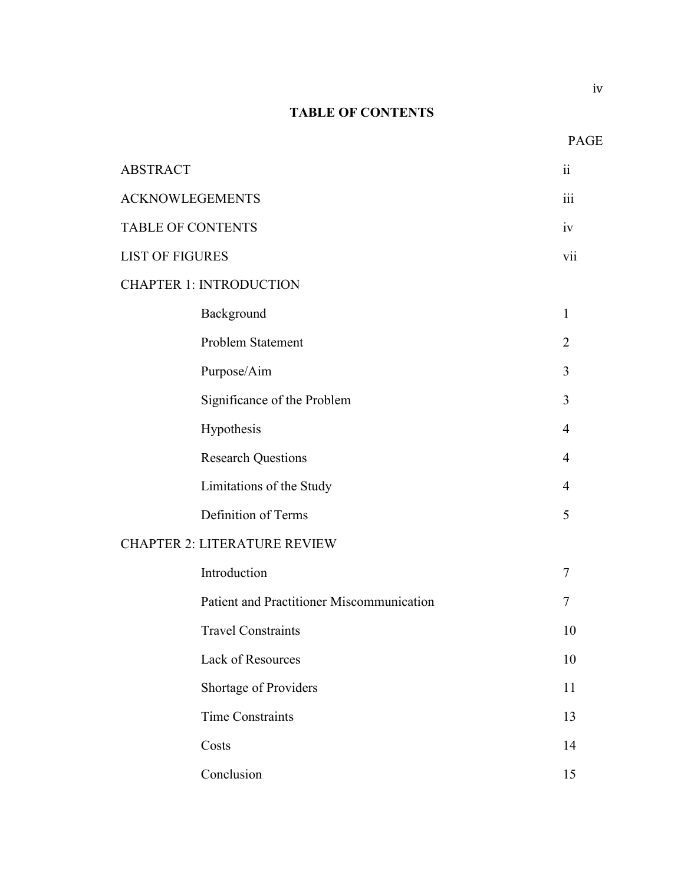# **TABLE OF CONTENTS**

| <b>ABSTRACT</b>                     |                                           |                |
|-------------------------------------|-------------------------------------------|----------------|
| <b>ACKNOWLEGEMENTS</b>              |                                           | 111            |
| <b>TABLE OF CONTENTS</b>            |                                           | iv             |
| <b>LIST OF FIGURES</b>              |                                           | vii            |
|                                     | <b>CHAPTER 1: INTRODUCTION</b>            |                |
|                                     | Background                                | $\mathbf{1}$   |
|                                     | Problem Statement                         | $\overline{2}$ |
|                                     | Purpose/Aim                               | 3              |
|                                     | Significance of the Problem               | 3              |
|                                     | Hypothesis                                | $\overline{4}$ |
|                                     | <b>Research Questions</b>                 | $\overline{4}$ |
|                                     | Limitations of the Study                  | 4              |
|                                     | Definition of Terms                       | 5              |
| <b>CHAPTER 2: LITERATURE REVIEW</b> |                                           |                |
|                                     | Introduction                              | 7              |
|                                     | Patient and Practitioner Miscommunication | 7              |
|                                     | <b>Travel Constraints</b>                 | 10             |
|                                     | Lack of Resources                         | 10             |
|                                     | Shortage of Providers                     | 11             |
|                                     | <b>Time Constraints</b>                   | 13             |
|                                     | Costs                                     | 14             |
|                                     | Conclusion                                | 15             |

PAGE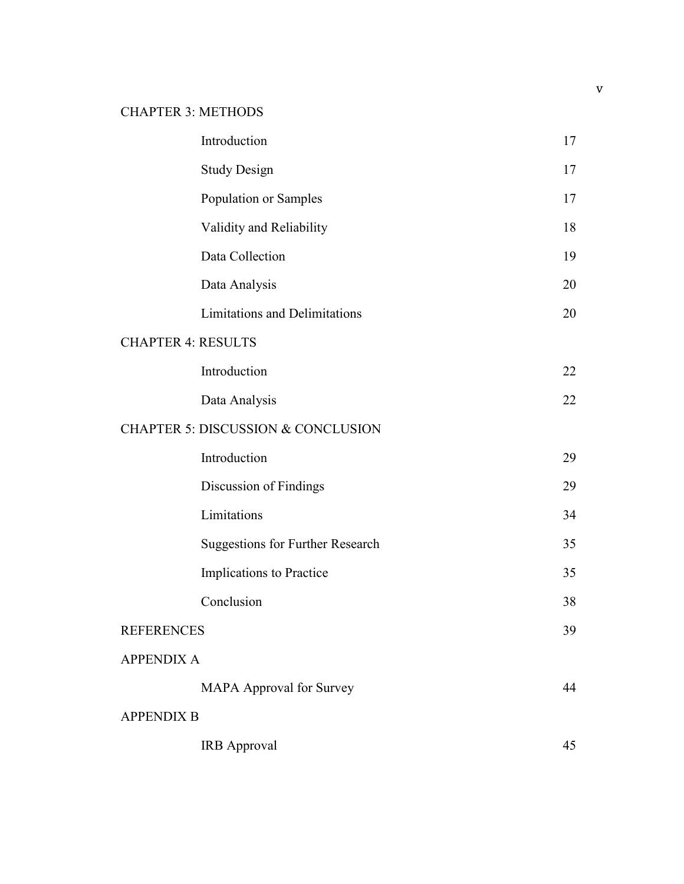# CHAPTER 3: METHODS

|                           | Introduction                                  | 17 |
|---------------------------|-----------------------------------------------|----|
|                           | <b>Study Design</b>                           | 17 |
|                           | Population or Samples                         | 17 |
|                           | Validity and Reliability                      | 18 |
|                           | Data Collection                               | 19 |
|                           | Data Analysis                                 | 20 |
|                           | Limitations and Delimitations                 | 20 |
| <b>CHAPTER 4: RESULTS</b> |                                               |    |
|                           | Introduction                                  | 22 |
|                           | Data Analysis                                 | 22 |
|                           | <b>CHAPTER 5: DISCUSSION &amp; CONCLUSION</b> |    |
|                           | Introduction                                  | 29 |
|                           | Discussion of Findings                        | 29 |
|                           | Limitations                                   | 34 |
|                           | <b>Suggestions for Further Research</b>       | 35 |
|                           | Implications to Practice                      | 35 |
|                           | Conclusion                                    | 38 |
| <b>REFERENCES</b>         |                                               | 39 |
| <b>APPENDIX A</b>         |                                               |    |
|                           | <b>MAPA Approval for Survey</b>               | 44 |
| <b>APPENDIX B</b>         |                                               |    |
|                           | <b>IRB</b> Approval                           | 45 |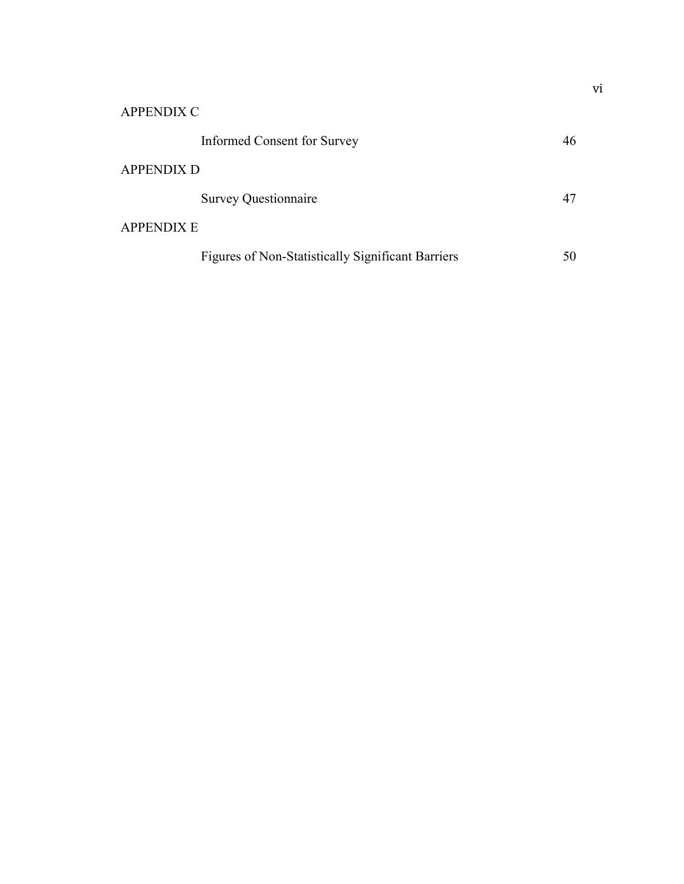| <b>APPENDIX C</b>                                 |    |  |
|---------------------------------------------------|----|--|
| Informed Consent for Survey                       | 46 |  |
| <b>APPENDIX D</b>                                 |    |  |
| <b>Survey Questionnaire</b>                       | 47 |  |
| <b>APPENDIX E</b>                                 |    |  |
| Figures of Non-Statistically Significant Barriers | 50 |  |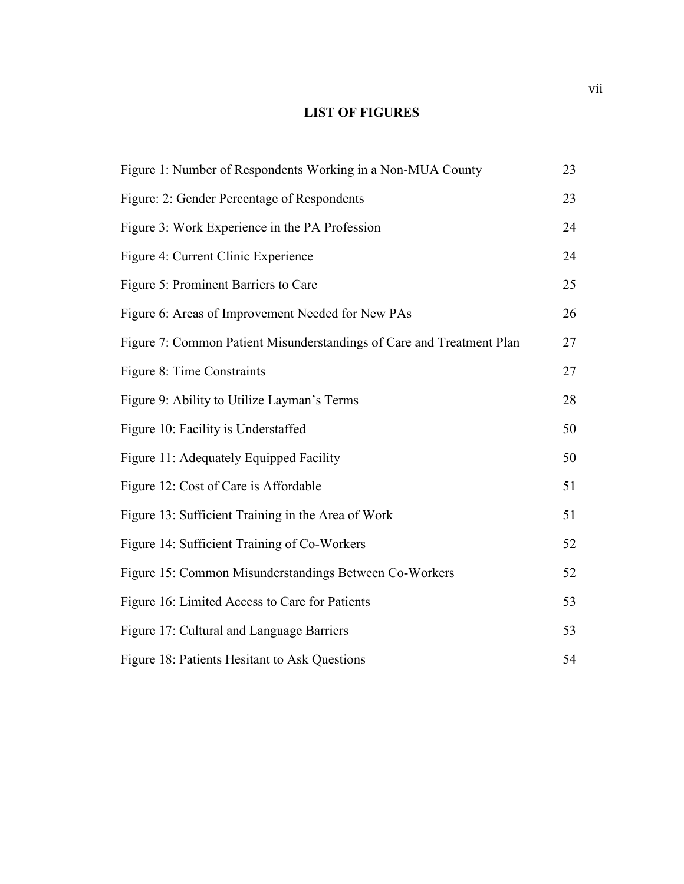# **LIST OF FIGURES**

| Figure 1: Number of Respondents Working in a Non-MUA County           | 23 |
|-----------------------------------------------------------------------|----|
| Figure: 2: Gender Percentage of Respondents                           | 23 |
| Figure 3: Work Experience in the PA Profession                        | 24 |
| Figure 4: Current Clinic Experience                                   | 24 |
| Figure 5: Prominent Barriers to Care                                  | 25 |
| Figure 6: Areas of Improvement Needed for New PAs                     | 26 |
| Figure 7: Common Patient Misunderstandings of Care and Treatment Plan | 27 |
| Figure 8: Time Constraints                                            | 27 |
| Figure 9: Ability to Utilize Layman's Terms                           | 28 |
| Figure 10: Facility is Understaffed                                   | 50 |
| Figure 11: Adequately Equipped Facility                               | 50 |
| Figure 12: Cost of Care is Affordable                                 | 51 |
| Figure 13: Sufficient Training in the Area of Work                    | 51 |
| Figure 14: Sufficient Training of Co-Workers                          | 52 |
| Figure 15: Common Misunderstandings Between Co-Workers                | 52 |
| Figure 16: Limited Access to Care for Patients                        | 53 |
| Figure 17: Cultural and Language Barriers                             | 53 |
| Figure 18: Patients Hesitant to Ask Questions                         | 54 |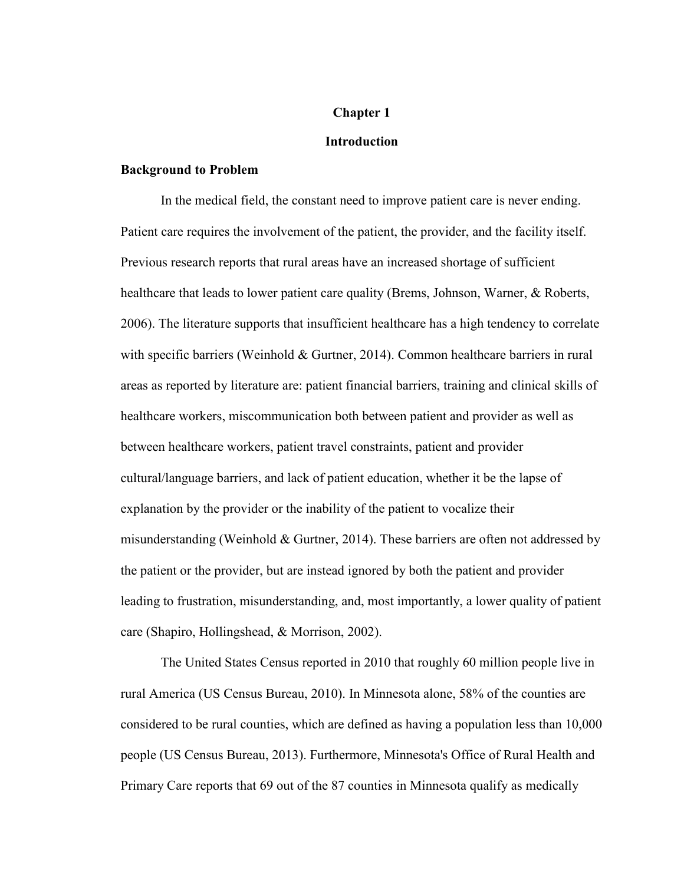#### **Chapter 1**

#### **Introduction**

## **Background to Problem**

In the medical field, the constant need to improve patient care is never ending. Patient care requires the involvement of the patient, the provider, and the facility itself. Previous research reports that rural areas have an increased shortage of sufficient healthcare that leads to lower patient care quality (Brems, Johnson, Warner, & Roberts, 2006). The literature supports that insufficient healthcare has a high tendency to correlate with specific barriers (Weinhold & Gurtner, 2014). Common healthcare barriers in rural areas as reported by literature are: patient financial barriers, training and clinical skills of healthcare workers, miscommunication both between patient and provider as well as between healthcare workers, patient travel constraints, patient and provider cultural/language barriers, and lack of patient education, whether it be the lapse of explanation by the provider or the inability of the patient to vocalize their misunderstanding (Weinhold & Gurtner, 2014). These barriers are often not addressed by the patient or the provider, but are instead ignored by both the patient and provider leading to frustration, misunderstanding, and, most importantly, a lower quality of patient care (Shapiro, Hollingshead, & Morrison, 2002).

The United States Census reported in 2010 that roughly 60 million people live in rural America (US Census Bureau, 2010). In Minnesota alone, 58% of the counties are considered to be rural counties, which are defined as having a population less than 10,000 people (US Census Bureau, 2013). Furthermore, Minnesota's Office of Rural Health and Primary Care reports that 69 out of the 87 counties in Minnesota qualify as medically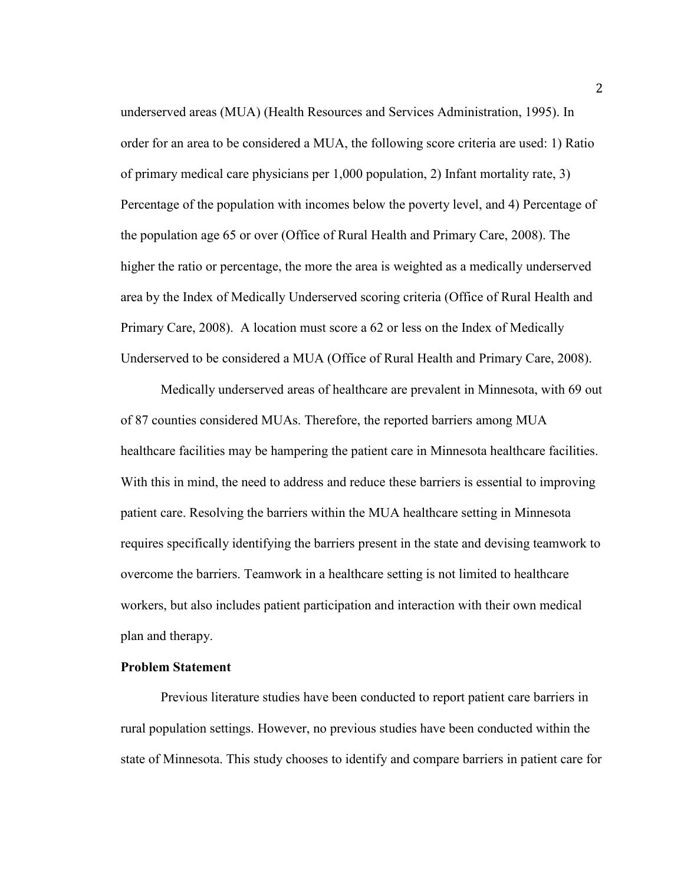underserved areas (MUA) (Health Resources and Services Administration, 1995). In order for an area to be considered a MUA, the following score criteria are used: 1) Ratio of primary medical care physicians per 1,000 population, 2) Infant mortality rate, 3) Percentage of the population with incomes below the poverty level, and 4) Percentage of the population age 65 or over (Office of Rural Health and Primary Care, 2008). The higher the ratio or percentage, the more the area is weighted as a medically underserved area by the Index of Medically Underserved scoring criteria (Office of Rural Health and Primary Care, 2008). A location must score a 62 or less on the Index of Medically Underserved to be considered a MUA (Office of Rural Health and Primary Care, 2008).

Medically underserved areas of healthcare are prevalent in Minnesota, with 69 out of 87 counties considered MUAs. Therefore, the reported barriers among MUA healthcare facilities may be hampering the patient care in Minnesota healthcare facilities. With this in mind, the need to address and reduce these barriers is essential to improving patient care. Resolving the barriers within the MUA healthcare setting in Minnesota requires specifically identifying the barriers present in the state and devising teamwork to overcome the barriers. Teamwork in a healthcare setting is not limited to healthcare workers, but also includes patient participation and interaction with their own medical plan and therapy.

#### **Problem Statement**

Previous literature studies have been conducted to report patient care barriers in rural population settings. However, no previous studies have been conducted within the state of Minnesota. This study chooses to identify and compare barriers in patient care for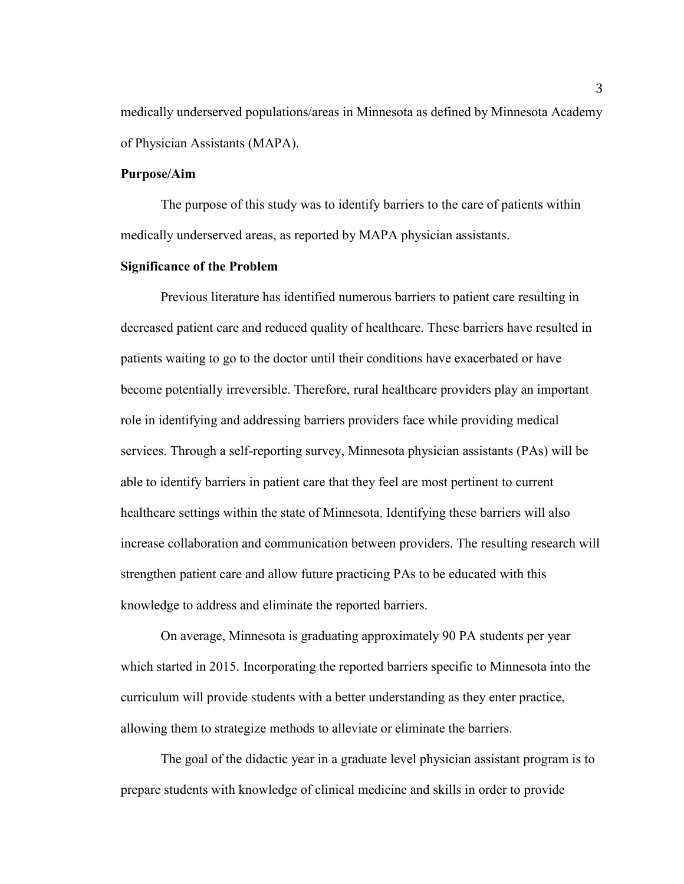medically underserved populations/areas in Minnesota as defined by Minnesota Academy of Physician Assistants (MAPA).

## **Purpose/Aim**

The purpose of this study was to identify barriers to the care of patients within medically underserved areas, as reported by MAPA physician assistants.

## **Significance of the Problem**

Previous literature has identified numerous barriers to patient care resulting in decreased patient care and reduced quality of healthcare. These barriers have resulted in patients waiting to go to the doctor until their conditions have exacerbated or have become potentially irreversible. Therefore, rural healthcare providers play an important role in identifying and addressing barriers providers face while providing medical services. Through a self-reporting survey, Minnesota physician assistants (PAs) will be able to identify barriers in patient care that they feel are most pertinent to current healthcare settings within the state of Minnesota. Identifying these barriers will also increase collaboration and communication between providers. The resulting research will strengthen patient care and allow future practicing PAs to be educated with this knowledge to address and eliminate the reported barriers.

On average, Minnesota is graduating approximately 90 PA students per year which started in 2015. Incorporating the reported barriers specific to Minnesota into the curriculum will provide students with a better understanding as they enter practice, allowing them to strategize methods to alleviate or eliminate the barriers.

The goal of the didactic year in a graduate level physician assistant program is to prepare students with knowledge of clinical medicine and skills in order to provide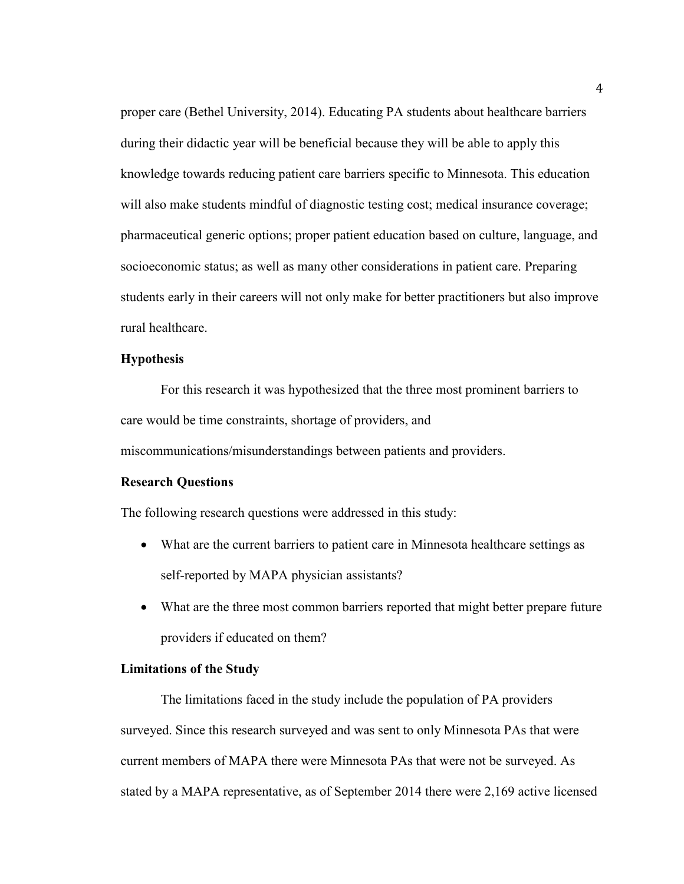proper care (Bethel University, 2014). Educating PA students about healthcare barriers during their didactic year will be beneficial because they will be able to apply this knowledge towards reducing patient care barriers specific to Minnesota. This education will also make students mindful of diagnostic testing cost; medical insurance coverage; pharmaceutical generic options; proper patient education based on culture, language, and socioeconomic status; as well as many other considerations in patient care. Preparing students early in their careers will not only make for better practitioners but also improve rural healthcare.

#### **Hypothesis**

For this research it was hypothesized that the three most prominent barriers to care would be time constraints, shortage of providers, and miscommunications/misunderstandings between patients and providers.

## **Research Questions**

The following research questions were addressed in this study:

- What are the current barriers to patient care in Minnesota healthcare settings as self-reported by MAPA physician assistants?
- What are the three most common barriers reported that might better prepare future providers if educated on them?

#### **Limitations of the Study**

 The limitations faced in the study include the population of PA providers surveyed. Since this research surveyed and was sent to only Minnesota PAs that were current members of MAPA there were Minnesota PAs that were not be surveyed. As stated by a MAPA representative, as of September 2014 there were 2,169 active licensed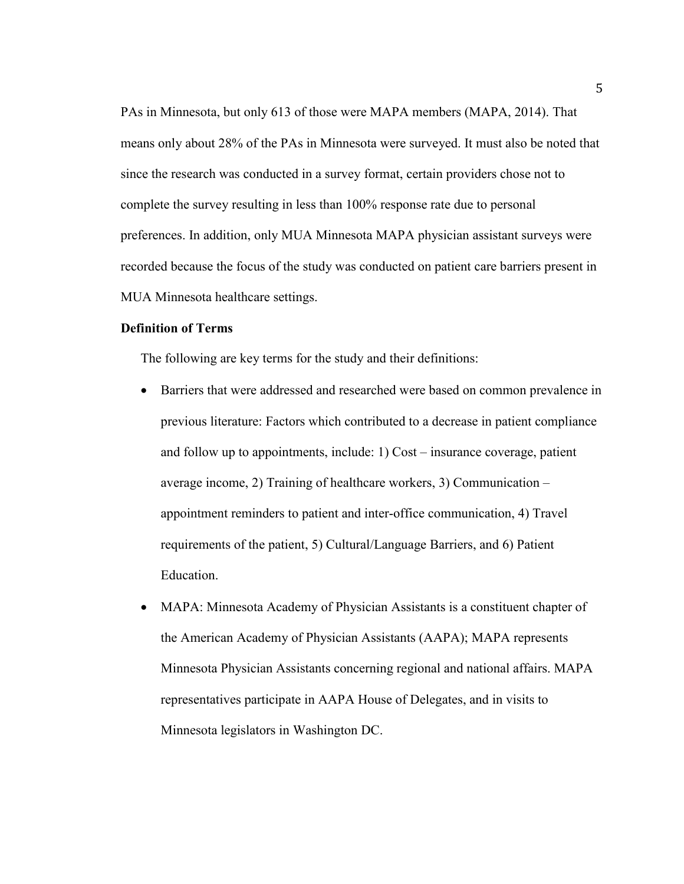PAs in Minnesota, but only 613 of those were MAPA members (MAPA, 2014). That means only about 28% of the PAs in Minnesota were surveyed. It must also be noted that since the research was conducted in a survey format, certain providers chose not to complete the survey resulting in less than 100% response rate due to personal preferences. In addition, only MUA Minnesota MAPA physician assistant surveys were recorded because the focus of the study was conducted on patient care barriers present in MUA Minnesota healthcare settings.

## **Definition of Terms**

The following are key terms for the study and their definitions:

- Barriers that were addressed and researched were based on common prevalence in previous literature: Factors which contributed to a decrease in patient compliance and follow up to appointments, include: 1) Cost – insurance coverage, patient average income, 2) Training of healthcare workers, 3) Communication – appointment reminders to patient and inter-office communication, 4) Travel requirements of the patient, 5) Cultural/Language Barriers, and 6) Patient Education.
- MAPA: Minnesota Academy of Physician Assistants is a constituent chapter of the American Academy of Physician Assistants (AAPA); MAPA represents Minnesota Physician Assistants concerning regional and national affairs. MAPA representatives participate in AAPA House of Delegates, and in visits to Minnesota legislators in Washington DC.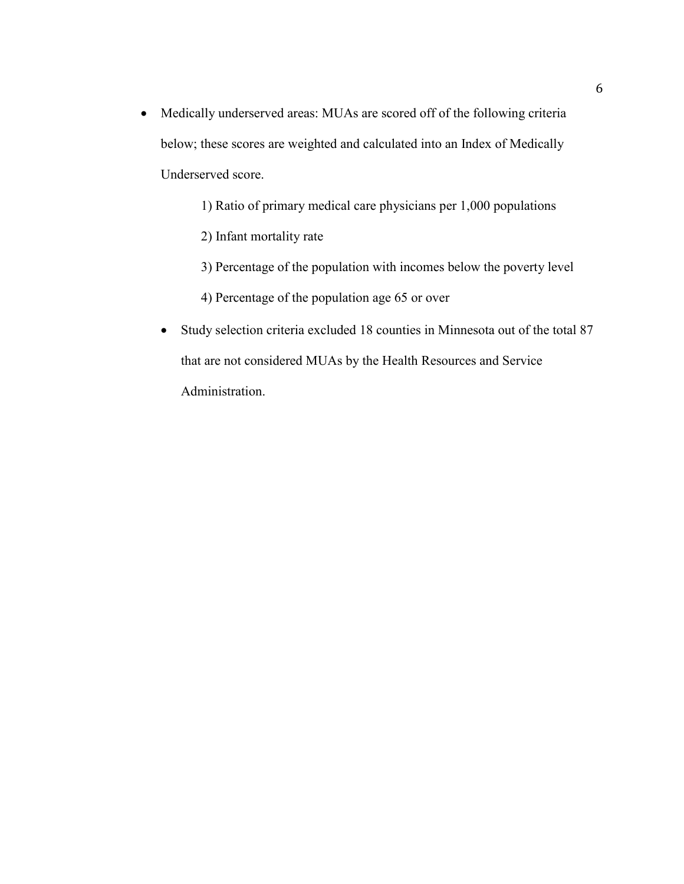- Medically underserved areas: MUAs are scored off of the following criteria below; these scores are weighted and calculated into an Index of Medically Underserved score.
	- 1) Ratio of primary medical care physicians per 1,000 populations
	- 2) Infant mortality rate
	- 3) Percentage of the population with incomes below the poverty level
	- 4) Percentage of the population age 65 or over
	- Study selection criteria excluded 18 counties in Minnesota out of the total 87 that are not considered MUAs by the Health Resources and Service Administration.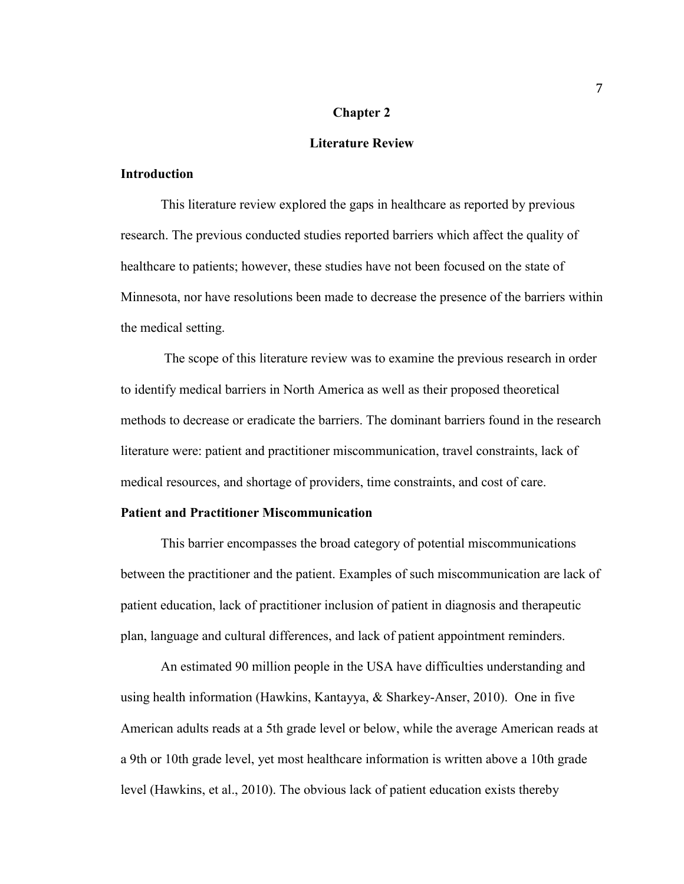#### **Chapter 2**

## **Literature Review**

## **Introduction**

This literature review explored the gaps in healthcare as reported by previous research. The previous conducted studies reported barriers which affect the quality of healthcare to patients; however, these studies have not been focused on the state of Minnesota, nor have resolutions been made to decrease the presence of the barriers within the medical setting.

 The scope of this literature review was to examine the previous research in order to identify medical barriers in North America as well as their proposed theoretical methods to decrease or eradicate the barriers. The dominant barriers found in the research literature were: patient and practitioner miscommunication, travel constraints, lack of medical resources, and shortage of providers, time constraints, and cost of care.

## **Patient and Practitioner Miscommunication**

This barrier encompasses the broad category of potential miscommunications between the practitioner and the patient. Examples of such miscommunication are lack of patient education, lack of practitioner inclusion of patient in diagnosis and therapeutic plan, language and cultural differences, and lack of patient appointment reminders.

An estimated 90 million people in the USA have difficulties understanding and using health information (Hawkins, Kantayya, & Sharkey-Anser, 2010). One in five American adults reads at a 5th grade level or below, while the average American reads at a 9th or 10th grade level, yet most healthcare information is written above a 10th grade level (Hawkins, et al., 2010). The obvious lack of patient education exists thereby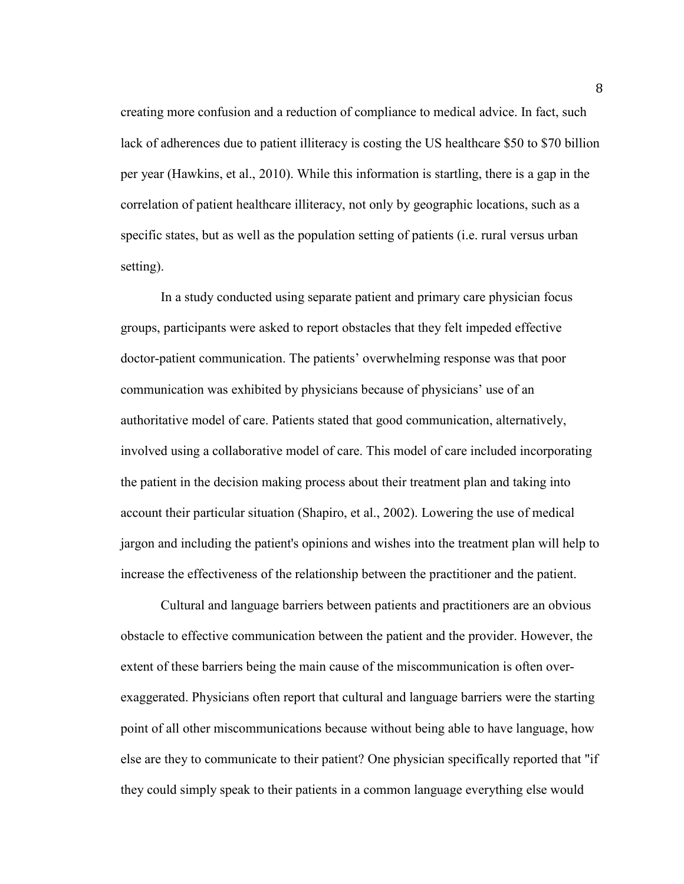creating more confusion and a reduction of compliance to medical advice. In fact, such lack of adherences due to patient illiteracy is costing the US healthcare \$50 to \$70 billion per year (Hawkins, et al., 2010). While this information is startling, there is a gap in the correlation of patient healthcare illiteracy, not only by geographic locations, such as a specific states, but as well as the population setting of patients (i.e. rural versus urban setting).

In a study conducted using separate patient and primary care physician focus groups, participants were asked to report obstacles that they felt impeded effective doctor-patient communication. The patients' overwhelming response was that poor communication was exhibited by physicians because of physicians' use of an authoritative model of care. Patients stated that good communication, alternatively, involved using a collaborative model of care. This model of care included incorporating the patient in the decision making process about their treatment plan and taking into account their particular situation (Shapiro, et al., 2002). Lowering the use of medical jargon and including the patient's opinions and wishes into the treatment plan will help to increase the effectiveness of the relationship between the practitioner and the patient.

Cultural and language barriers between patients and practitioners are an obvious obstacle to effective communication between the patient and the provider. However, the extent of these barriers being the main cause of the miscommunication is often overexaggerated. Physicians often report that cultural and language barriers were the starting point of all other miscommunications because without being able to have language, how else are they to communicate to their patient? One physician specifically reported that "if they could simply speak to their patients in a common language everything else would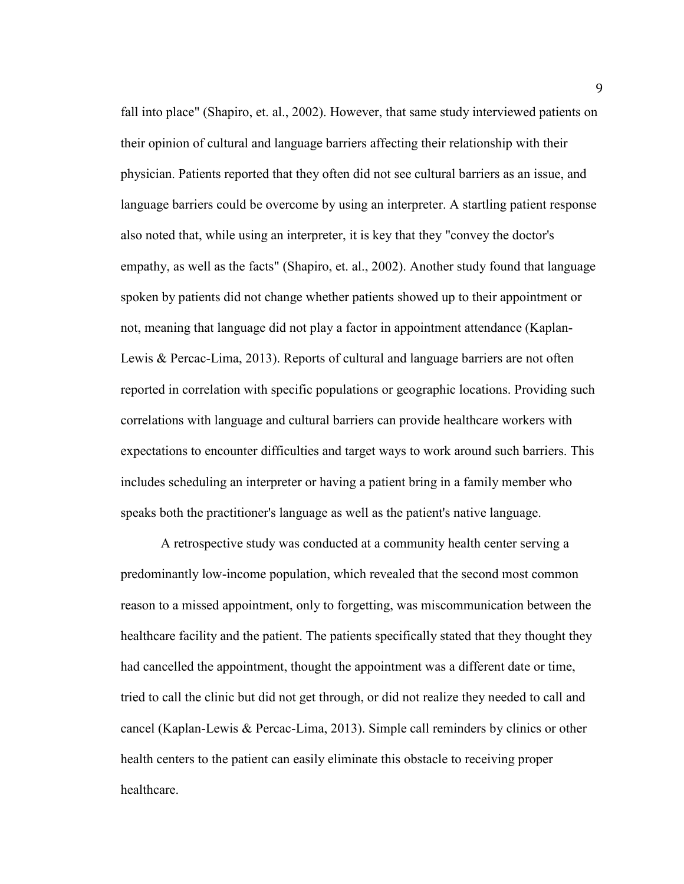fall into place" (Shapiro, et. al., 2002). However, that same study interviewed patients on their opinion of cultural and language barriers affecting their relationship with their physician. Patients reported that they often did not see cultural barriers as an issue, and language barriers could be overcome by using an interpreter. A startling patient response also noted that, while using an interpreter, it is key that they "convey the doctor's empathy, as well as the facts" (Shapiro, et. al., 2002). Another study found that language spoken by patients did not change whether patients showed up to their appointment or not, meaning that language did not play a factor in appointment attendance (Kaplan-Lewis & Percac-Lima, 2013). Reports of cultural and language barriers are not often reported in correlation with specific populations or geographic locations. Providing such correlations with language and cultural barriers can provide healthcare workers with expectations to encounter difficulties and target ways to work around such barriers. This includes scheduling an interpreter or having a patient bring in a family member who speaks both the practitioner's language as well as the patient's native language.

 A retrospective study was conducted at a community health center serving a predominantly low-income population, which revealed that the second most common reason to a missed appointment, only to forgetting, was miscommunication between the healthcare facility and the patient. The patients specifically stated that they thought they had cancelled the appointment, thought the appointment was a different date or time, tried to call the clinic but did not get through, or did not realize they needed to call and cancel (Kaplan-Lewis & Percac-Lima, 2013). Simple call reminders by clinics or other health centers to the patient can easily eliminate this obstacle to receiving proper healthcare.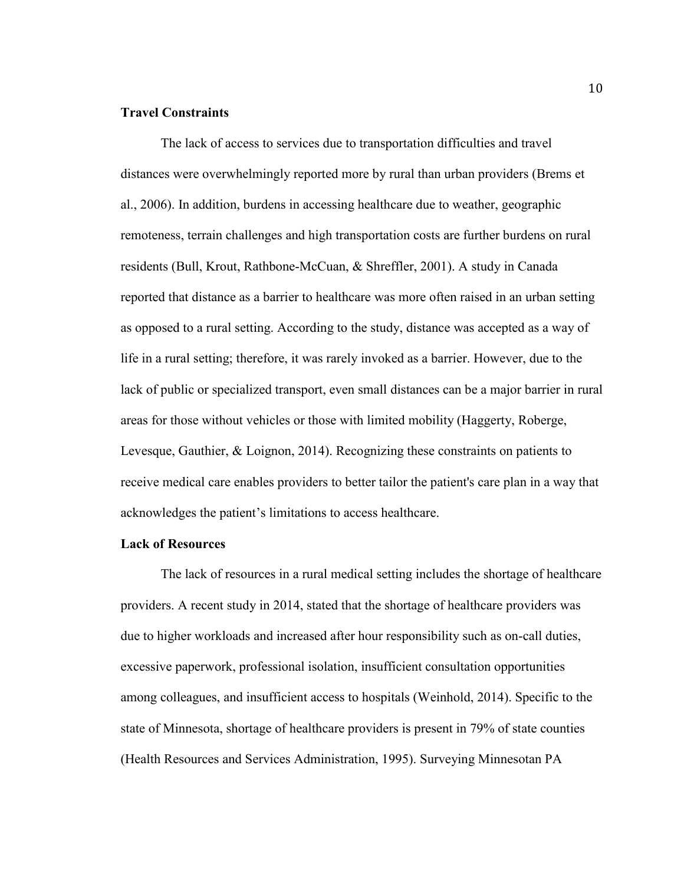#### **Travel Constraints**

 The lack of access to services due to transportation difficulties and travel distances were overwhelmingly reported more by rural than urban providers (Brems et al., 2006). In addition, burdens in accessing healthcare due to weather, geographic remoteness, terrain challenges and high transportation costs are further burdens on rural residents (Bull, Krout, Rathbone-McCuan, & Shreffler, 2001). A study in Canada reported that distance as a barrier to healthcare was more often raised in an urban setting as opposed to a rural setting. According to the study, distance was accepted as a way of life in a rural setting; therefore, it was rarely invoked as a barrier. However, due to the lack of public or specialized transport, even small distances can be a major barrier in rural areas for those without vehicles or those with limited mobility (Haggerty, Roberge, Levesque, Gauthier, & Loignon, 2014). Recognizing these constraints on patients to receive medical care enables providers to better tailor the patient's care plan in a way that acknowledges the patient's limitations to access healthcare.

#### **Lack of Resources**

The lack of resources in a rural medical setting includes the shortage of healthcare providers. A recent study in 2014, stated that the shortage of healthcare providers was due to higher workloads and increased after hour responsibility such as on-call duties, excessive paperwork, professional isolation, insufficient consultation opportunities among colleagues, and insufficient access to hospitals (Weinhold, 2014). Specific to the state of Minnesota, shortage of healthcare providers is present in 79% of state counties (Health Resources and Services Administration, 1995). Surveying Minnesotan PA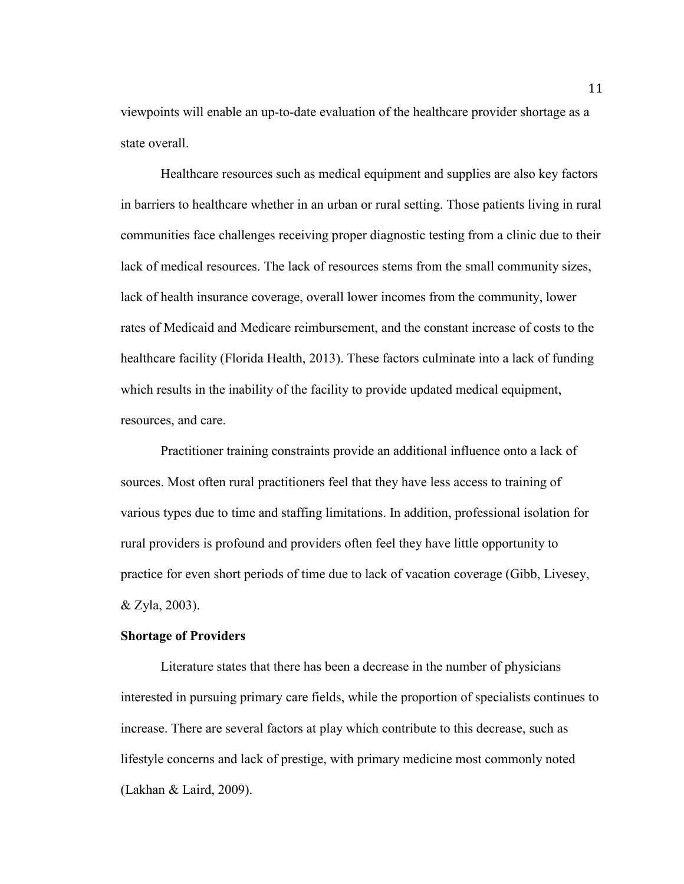viewpoints will enable an up-to-date evaluation of the healthcare provider shortage as a state overall.

Healthcare resources such as medical equipment and supplies are also key factors in barriers to healthcare whether in an urban or rural setting. Those patients living in rural communities face challenges receiving proper diagnostic testing from a clinic due to their lack of medical resources. The lack of resources stems from the small community sizes, lack of health insurance coverage, overall lower incomes from the community, lower rates of Medicaid and Medicare reimbursement, and the constant increase of costs to the healthcare facility (Florida Health, 2013). These factors culminate into a lack of funding which results in the inability of the facility to provide updated medical equipment, resources, and care.

 Practitioner training constraints provide an additional influence onto a lack of sources. Most often rural practitioners feel that they have less access to training of various types due to time and staffing limitations. In addition, professional isolation for rural providers is profound and providers often feel they have little opportunity to practice for even short periods of time due to lack of vacation coverage (Gibb, Livesey, & Zyla, 2003).

## **Shortage of Providers**

Literature states that there has been a decrease in the number of physicians interested in pursuing primary care fields, while the proportion of specialists continues to increase. There are several factors at play which contribute to this decrease, such as lifestyle concerns and lack of prestige, with primary medicine most commonly noted (Lakhan & Laird, 2009).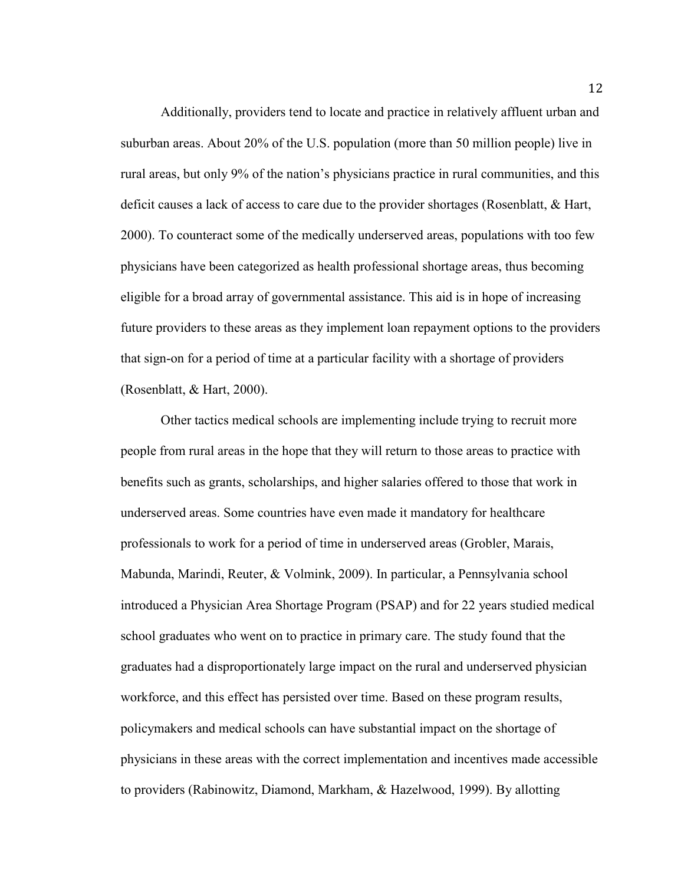Additionally, providers tend to locate and practice in relatively affluent urban and suburban areas. About 20% of the U.S. population (more than 50 million people) live in rural areas, but only 9% of the nation's physicians practice in rural communities, and this deficit causes a lack of access to care due to the provider shortages (Rosenblatt, & Hart, 2000). To counteract some of the medically underserved areas, populations with too few physicians have been categorized as health professional shortage areas, thus becoming eligible for a broad array of governmental assistance. This aid is in hope of increasing future providers to these areas as they implement loan repayment options to the providers that sign-on for a period of time at a particular facility with a shortage of providers (Rosenblatt, & Hart, 2000).

Other tactics medical schools are implementing include trying to recruit more people from rural areas in the hope that they will return to those areas to practice with benefits such as grants, scholarships, and higher salaries offered to those that work in underserved areas. Some countries have even made it mandatory for healthcare professionals to work for a period of time in underserved areas (Grobler, Marais, Mabunda, Marindi, Reuter, & Volmink, 2009). In particular, a Pennsylvania school introduced a Physician Area Shortage Program (PSAP) and for 22 years studied medical school graduates who went on to practice in primary care. The study found that the graduates had a disproportionately large impact on the rural and underserved physician workforce, and this effect has persisted over time. Based on these program results, policymakers and medical schools can have substantial impact on the shortage of physicians in these areas with the correct implementation and incentives made accessible to providers (Rabinowitz, Diamond, Markham, & Hazelwood, 1999). By allotting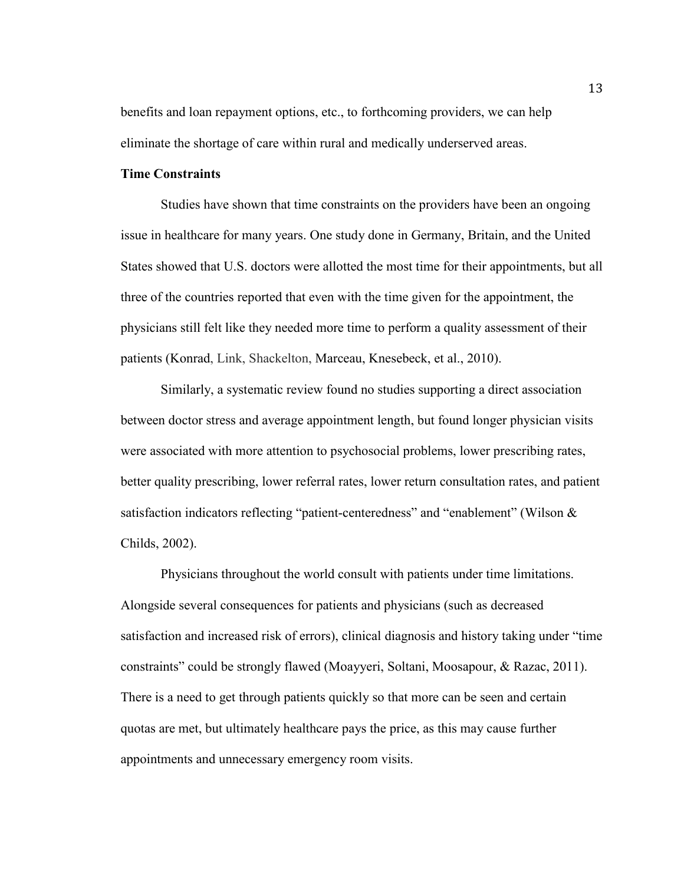benefits and loan repayment options, etc., to forthcoming providers, we can help eliminate the shortage of care within rural and medically underserved areas.

## **Time Constraints**

Studies have shown that time constraints on the providers have been an ongoing issue in healthcare for many years. One study done in Germany, Britain, and the United States showed that U.S. doctors were allotted the most time for their appointments, but all three of the countries reported that even with the time given for the appointment, the physicians still felt like they needed more time to perform a quality assessment of their patients (Konrad, Link, Shackelton, Marceau, Knesebeck, et al., 2010).

Similarly, a systematic review found no studies supporting a direct association between doctor stress and average appointment length, but found longer physician visits were associated with more attention to psychosocial problems, lower prescribing rates, better quality prescribing, lower referral rates, lower return consultation rates, and patient satisfaction indicators reflecting "patient-centeredness" and "enablement" (Wilson & Childs, 2002).

Physicians throughout the world consult with patients under time limitations. Alongside several consequences for patients and physicians (such as decreased satisfaction and increased risk of errors), clinical diagnosis and history taking under "time constraints" could be strongly flawed (Moayyeri, Soltani, Moosapour, & Razac, 2011). There is a need to get through patients quickly so that more can be seen and certain quotas are met, but ultimately healthcare pays the price, as this may cause further appointments and unnecessary emergency room visits.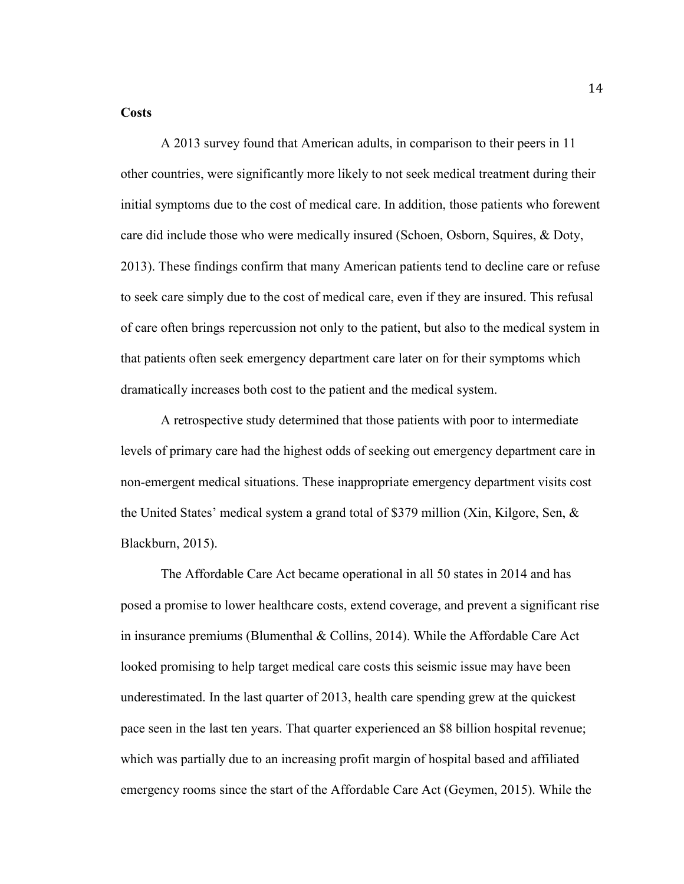#### **Costs**

 A 2013 survey found that American adults, in comparison to their peers in 11 other countries, were significantly more likely to not seek medical treatment during their initial symptoms due to the cost of medical care. In addition, those patients who forewent care did include those who were medically insured (Schoen, Osborn, Squires, & Doty, 2013). These findings confirm that many American patients tend to decline care or refuse to seek care simply due to the cost of medical care, even if they are insured. This refusal of care often brings repercussion not only to the patient, but also to the medical system in that patients often seek emergency department care later on for their symptoms which dramatically increases both cost to the patient and the medical system.

A retrospective study determined that those patients with poor to intermediate levels of primary care had the highest odds of seeking out emergency department care in non-emergent medical situations. These inappropriate emergency department visits cost the United States' medical system a grand total of \$379 million (Xin, Kilgore, Sen, & Blackburn, 2015).

The Affordable Care Act became operational in all 50 states in 2014 and has posed a promise to lower healthcare costs, extend coverage, and prevent a significant rise in insurance premiums (Blumenthal & Collins, 2014). While the Affordable Care Act looked promising to help target medical care costs this seismic issue may have been underestimated. In the last quarter of 2013, health care spending grew at the quickest pace seen in the last ten years. That quarter experienced an \$8 billion hospital revenue; which was partially due to an increasing profit margin of hospital based and affiliated emergency rooms since the start of the Affordable Care Act (Geymen, 2015). While the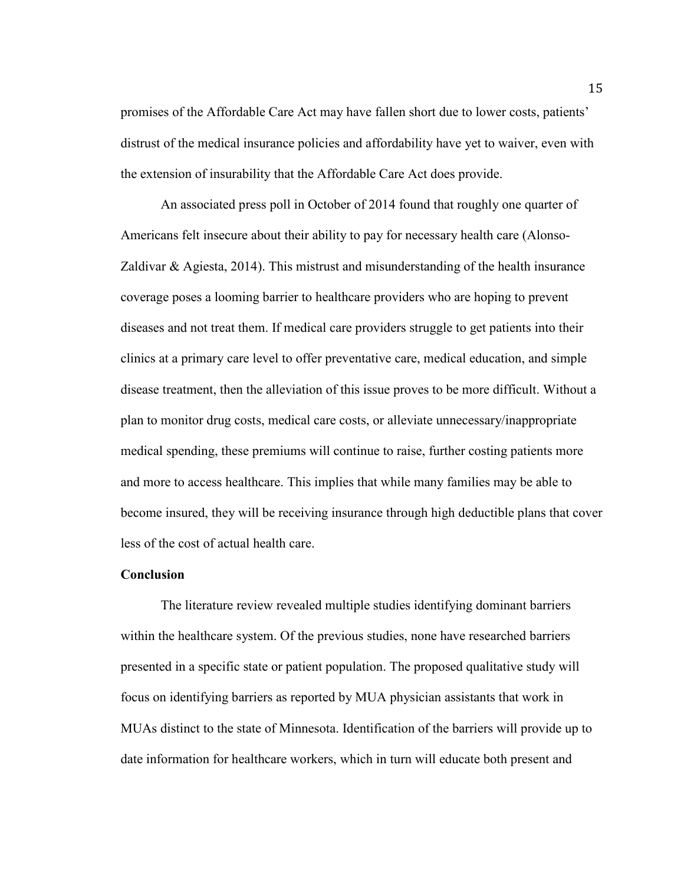promises of the Affordable Care Act may have fallen short due to lower costs, patients' distrust of the medical insurance policies and affordability have yet to waiver, even with the extension of insurability that the Affordable Care Act does provide.

An associated press poll in October of 2014 found that roughly one quarter of Americans felt insecure about their ability to pay for necessary health care (Alonso-Zaldivar & Agiesta, 2014). This mistrust and misunderstanding of the health insurance coverage poses a looming barrier to healthcare providers who are hoping to prevent diseases and not treat them. If medical care providers struggle to get patients into their clinics at a primary care level to offer preventative care, medical education, and simple disease treatment, then the alleviation of this issue proves to be more difficult. Without a plan to monitor drug costs, medical care costs, or alleviate unnecessary/inappropriate medical spending, these premiums will continue to raise, further costing patients more and more to access healthcare. This implies that while many families may be able to become insured, they will be receiving insurance through high deductible plans that cover less of the cost of actual health care.

#### **Conclusion**

The literature review revealed multiple studies identifying dominant barriers within the healthcare system. Of the previous studies, none have researched barriers presented in a specific state or patient population. The proposed qualitative study will focus on identifying barriers as reported by MUA physician assistants that work in MUAs distinct to the state of Minnesota. Identification of the barriers will provide up to date information for healthcare workers, which in turn will educate both present and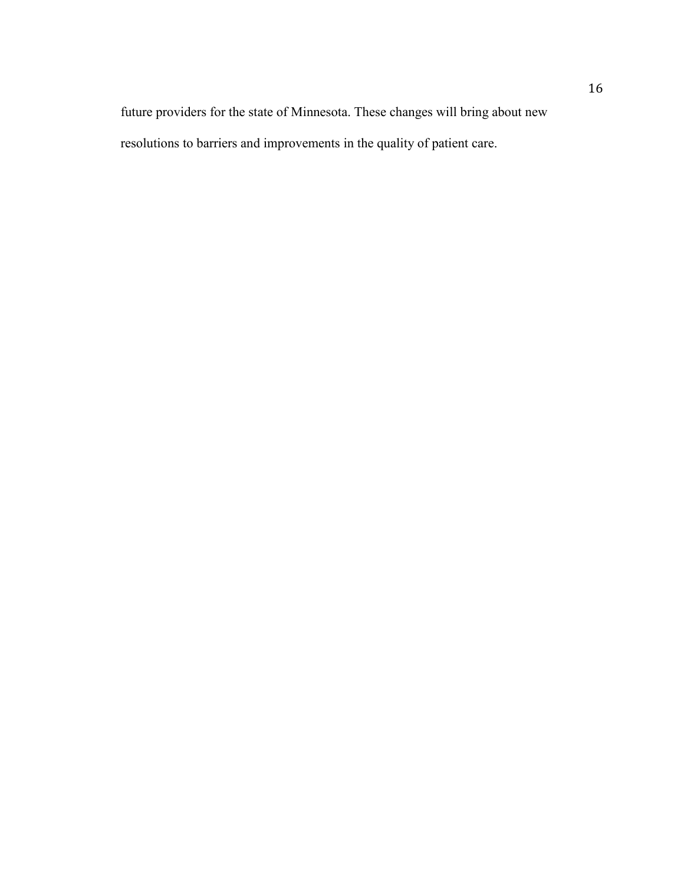future providers for the state of Minnesota. These changes will bring about new resolutions to barriers and improvements in the quality of patient care.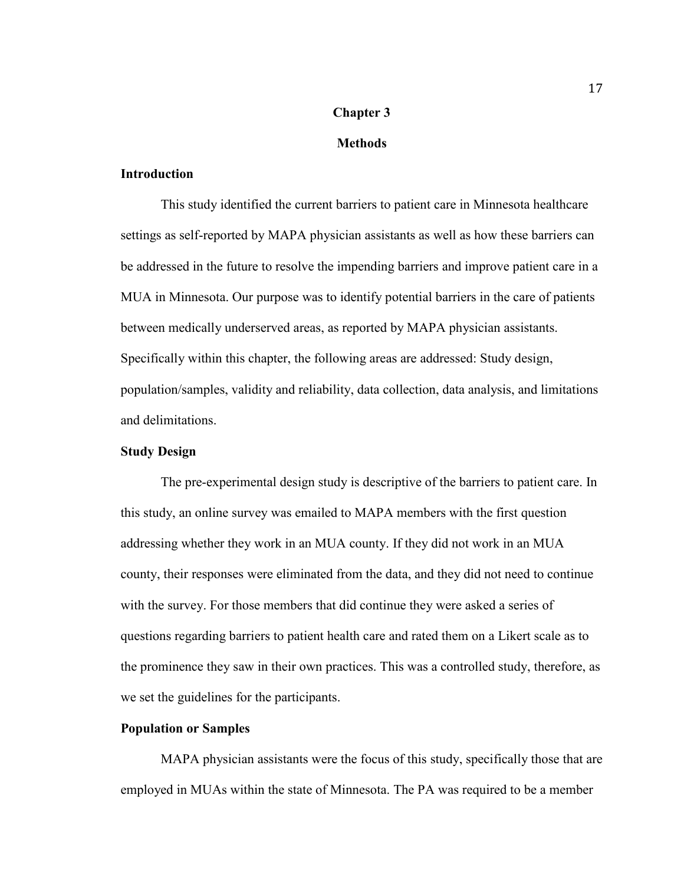# **Chapter 3**

## **Methods**

## **Introduction**

This study identified the current barriers to patient care in Minnesota healthcare settings as self-reported by MAPA physician assistants as well as how these barriers can be addressed in the future to resolve the impending barriers and improve patient care in a MUA in Minnesota. Our purpose was to identify potential barriers in the care of patients between medically underserved areas, as reported by MAPA physician assistants. Specifically within this chapter, the following areas are addressed: Study design, population/samples, validity and reliability, data collection, data analysis, and limitations and delimitations.

## **Study Design**

The pre-experimental design study is descriptive of the barriers to patient care. In this study, an online survey was emailed to MAPA members with the first question addressing whether they work in an MUA county. If they did not work in an MUA county, their responses were eliminated from the data, and they did not need to continue with the survey. For those members that did continue they were asked a series of questions regarding barriers to patient health care and rated them on a Likert scale as to the prominence they saw in their own practices. This was a controlled study, therefore, as we set the guidelines for the participants.

#### **Population or Samples**

MAPA physician assistants were the focus of this study, specifically those that are employed in MUAs within the state of Minnesota. The PA was required to be a member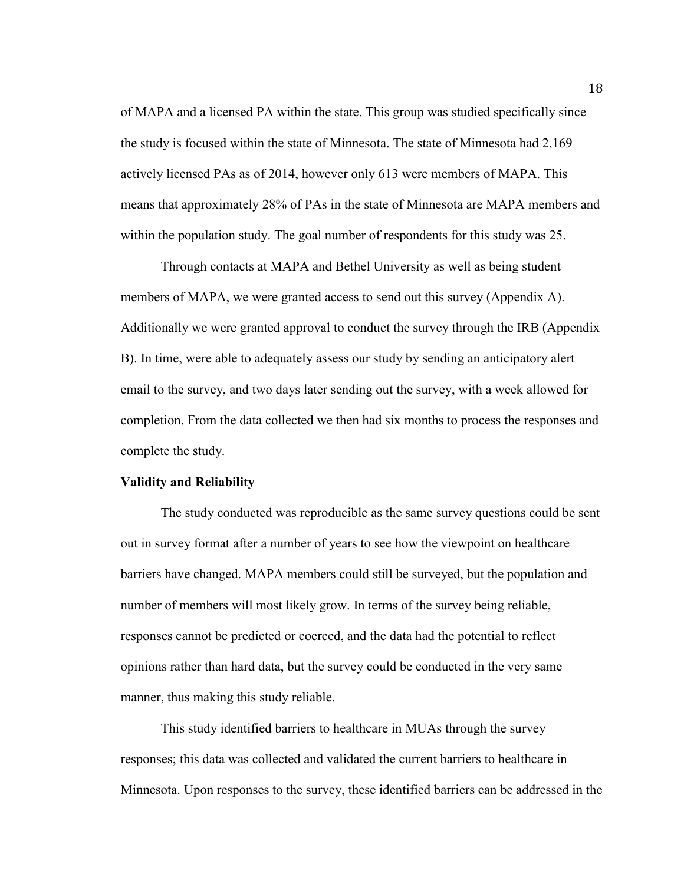of MAPA and a licensed PA within the state. This group was studied specifically since the study is focused within the state of Minnesota. The state of Minnesota had 2,169 actively licensed PAs as of 2014, however only 613 were members of MAPA. This means that approximately 28% of PAs in the state of Minnesota are MAPA members and within the population study. The goal number of respondents for this study was 25.

 Through contacts at MAPA and Bethel University as well as being student members of MAPA, we were granted access to send out this survey (Appendix A). Additionally we were granted approval to conduct the survey through the IRB (Appendix B). In time, were able to adequately assess our study by sending an anticipatory alert email to the survey, and two days later sending out the survey, with a week allowed for completion. From the data collected we then had six months to process the responses and complete the study.

## **Validity and Reliability**

 The study conducted was reproducible as the same survey questions could be sent out in survey format after a number of years to see how the viewpoint on healthcare barriers have changed. MAPA members could still be surveyed, but the population and number of members will most likely grow. In terms of the survey being reliable, responses cannot be predicted or coerced, and the data had the potential to reflect opinions rather than hard data, but the survey could be conducted in the very same manner, thus making this study reliable.

 This study identified barriers to healthcare in MUAs through the survey responses; this data was collected and validated the current barriers to healthcare in Minnesota. Upon responses to the survey, these identified barriers can be addressed in the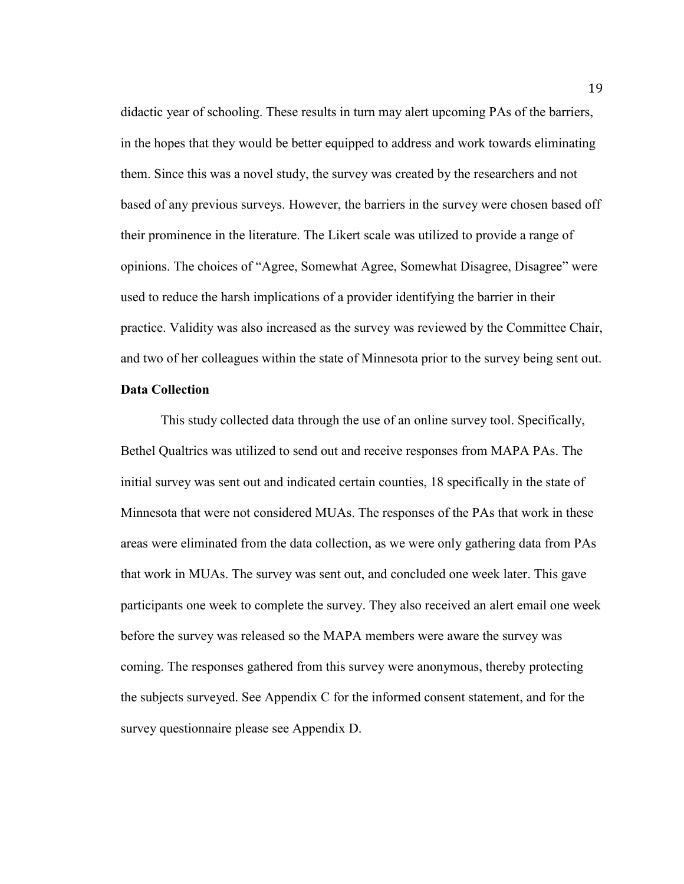didactic year of schooling. These results in turn may alert upcoming PAs of the barriers, in the hopes that they would be better equipped to address and work towards eliminating them. Since this was a novel study, the survey was created by the researchers and not based of any previous surveys. However, the barriers in the survey were chosen based off their prominence in the literature. The Likert scale was utilized to provide a range of opinions. The choices of "Agree, Somewhat Agree, Somewhat Disagree, Disagree" were used to reduce the harsh implications of a provider identifying the barrier in their practice. Validity was also increased as the survey was reviewed by the Committee Chair, and two of her colleagues within the state of Minnesota prior to the survey being sent out.

## **Data Collection**

 This study collected data through the use of an online survey tool. Specifically, Bethel Qualtrics was utilized to send out and receive responses from MAPA PAs. The initial survey was sent out and indicated certain counties, 18 specifically in the state of Minnesota that were not considered MUAs. The responses of the PAs that work in these areas were eliminated from the data collection, as we were only gathering data from PAs that work in MUAs. The survey was sent out, and concluded one week later. This gave participants one week to complete the survey. They also received an alert email one week before the survey was released so the MAPA members were aware the survey was coming. The responses gathered from this survey were anonymous, thereby protecting the subjects surveyed. See Appendix C for the informed consent statement, and for the survey questionnaire please see Appendix D.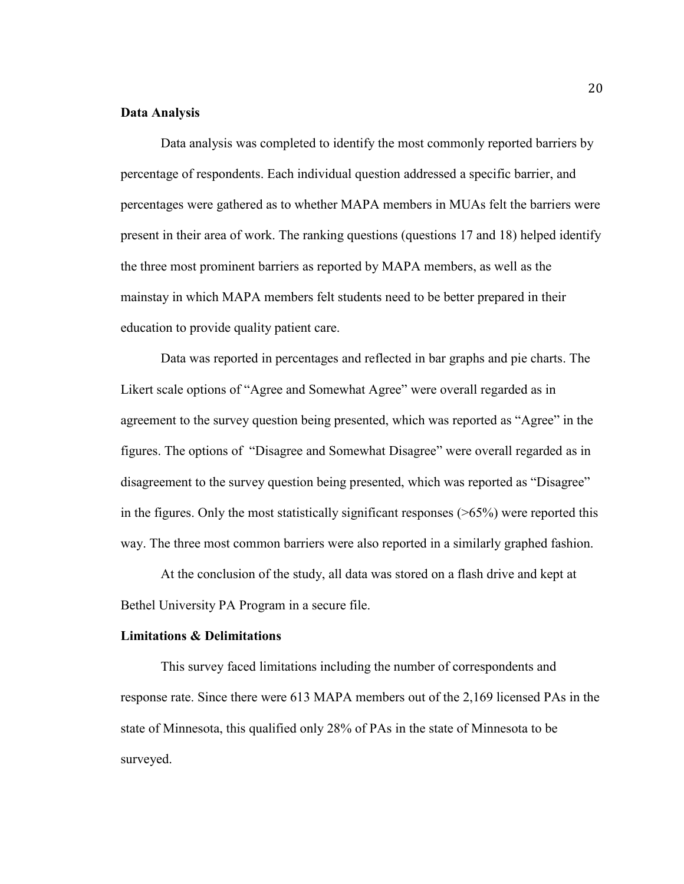## **Data Analysis**

Data analysis was completed to identify the most commonly reported barriers by percentage of respondents. Each individual question addressed a specific barrier, and percentages were gathered as to whether MAPA members in MUAs felt the barriers were present in their area of work. The ranking questions (questions 17 and 18) helped identify the three most prominent barriers as reported by MAPA members, as well as the mainstay in which MAPA members felt students need to be better prepared in their education to provide quality patient care.

Data was reported in percentages and reflected in bar graphs and pie charts. The Likert scale options of "Agree and Somewhat Agree" were overall regarded as in agreement to the survey question being presented, which was reported as "Agree" in the figures. The options of "Disagree and Somewhat Disagree" were overall regarded as in disagreement to the survey question being presented, which was reported as "Disagree" in the figures. Only the most statistically significant responses ( $>65\%$ ) were reported this way. The three most common barriers were also reported in a similarly graphed fashion.

At the conclusion of the study, all data was stored on a flash drive and kept at Bethel University PA Program in a secure file.

## **Limitations & Delimitations**

 This survey faced limitations including the number of correspondents and response rate. Since there were 613 MAPA members out of the 2,169 licensed PAs in the state of Minnesota, this qualified only 28% of PAs in the state of Minnesota to be surveyed.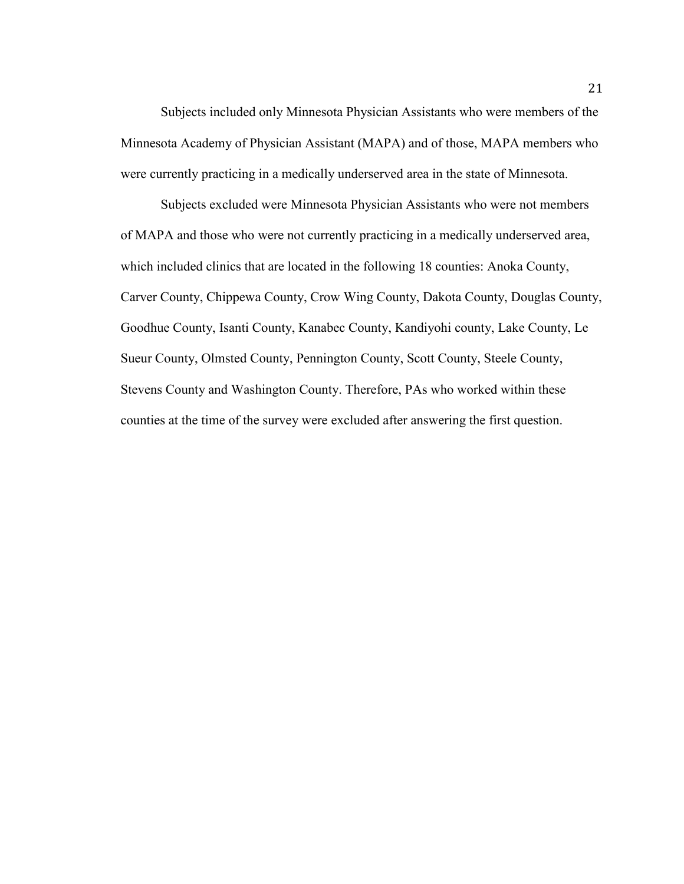Subjects included only Minnesota Physician Assistants who were members of the Minnesota Academy of Physician Assistant (MAPA) and of those, MAPA members who were currently practicing in a medically underserved area in the state of Minnesota.

Subjects excluded were Minnesota Physician Assistants who were not members of MAPA and those who were not currently practicing in a medically underserved area, which included clinics that are located in the following 18 counties: Anoka County, Carver County, Chippewa County, Crow Wing County, Dakota County, Douglas County, Goodhue County, Isanti County, Kanabec County, Kandiyohi county, Lake County, Le Sueur County, Olmsted County, Pennington County, Scott County, Steele County, Stevens County and Washington County. Therefore, PAs who worked within these counties at the time of the survey were excluded after answering the first question.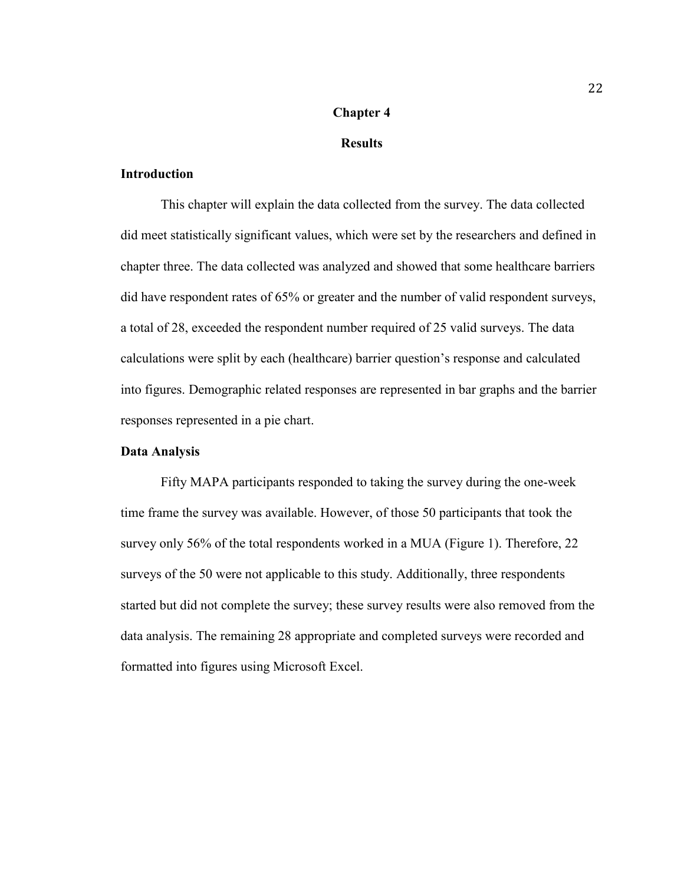## **Chapter 4**

## **Results**

## **Introduction**

This chapter will explain the data collected from the survey. The data collected did meet statistically significant values, which were set by the researchers and defined in chapter three. The data collected was analyzed and showed that some healthcare barriers did have respondent rates of 65% or greater and the number of valid respondent surveys, a total of 28, exceeded the respondent number required of 25 valid surveys. The data calculations were split by each (healthcare) barrier question's response and calculated into figures. Demographic related responses are represented in bar graphs and the barrier responses represented in a pie chart.

#### **Data Analysis**

Fifty MAPA participants responded to taking the survey during the one-week time frame the survey was available. However, of those 50 participants that took the survey only 56% of the total respondents worked in a MUA (Figure 1). Therefore, 22 surveys of the 50 were not applicable to this study. Additionally, three respondents started but did not complete the survey; these survey results were also removed from the data analysis. The remaining 28 appropriate and completed surveys were recorded and formatted into figures using Microsoft Excel.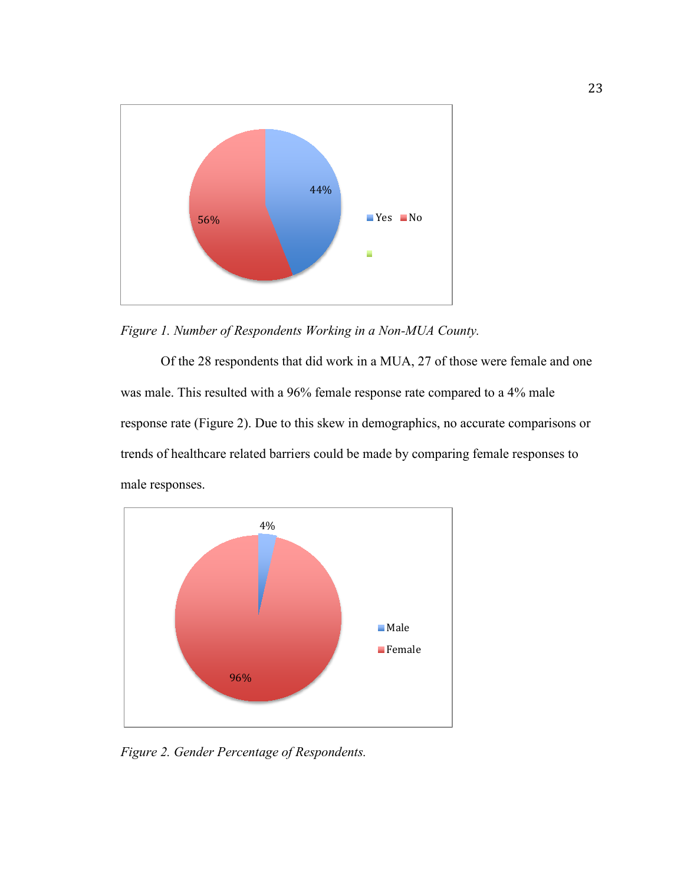

*Figure 1. Number of Respondents Working in a Non-MUA County.* 

Of the 28 respondents that did work in a MUA, 27 of those were female and one was male. This resulted with a 96% female response rate compared to a 4% male response rate (Figure 2). Due to this skew in demographics, no accurate comparisons or trends of healthcare related barriers could be made by comparing female responses to male responses.



*Figure 2. Gender Percentage of Respondents.*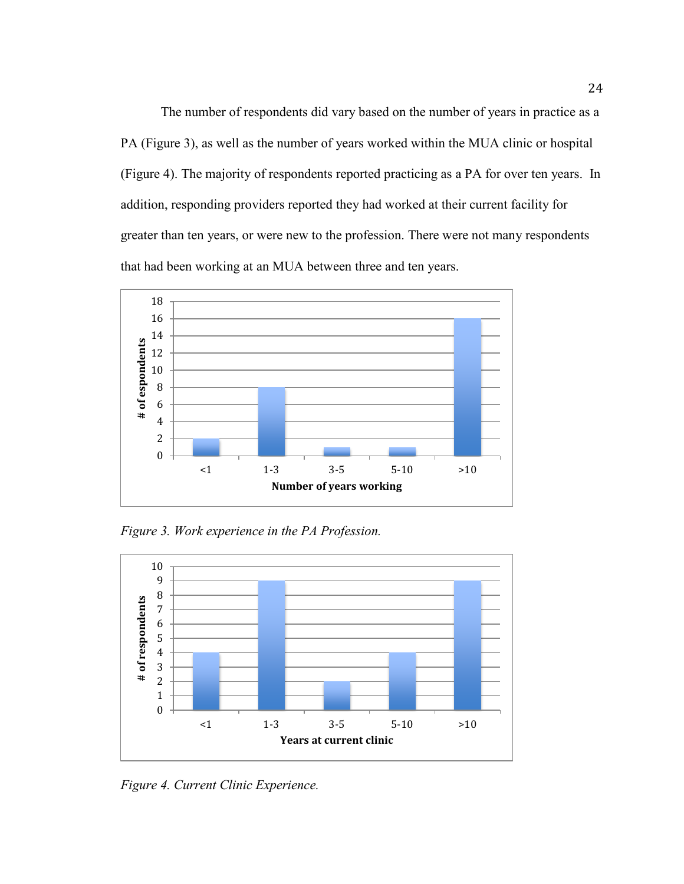The number of respondents did vary based on the number of years in practice as a PA (Figure 3), as well as the number of years worked within the MUA clinic or hospital (Figure 4). The majority of respondents reported practicing as a PA for over ten years. In addition, responding providers reported they had worked at their current facility for greater than ten years, or were new to the profession. There were not many respondents that had been working at an MUA between three and ten years.



*Figure 3. Work experience in the PA Profession.* 



*Figure 4. Current Clinic Experience.*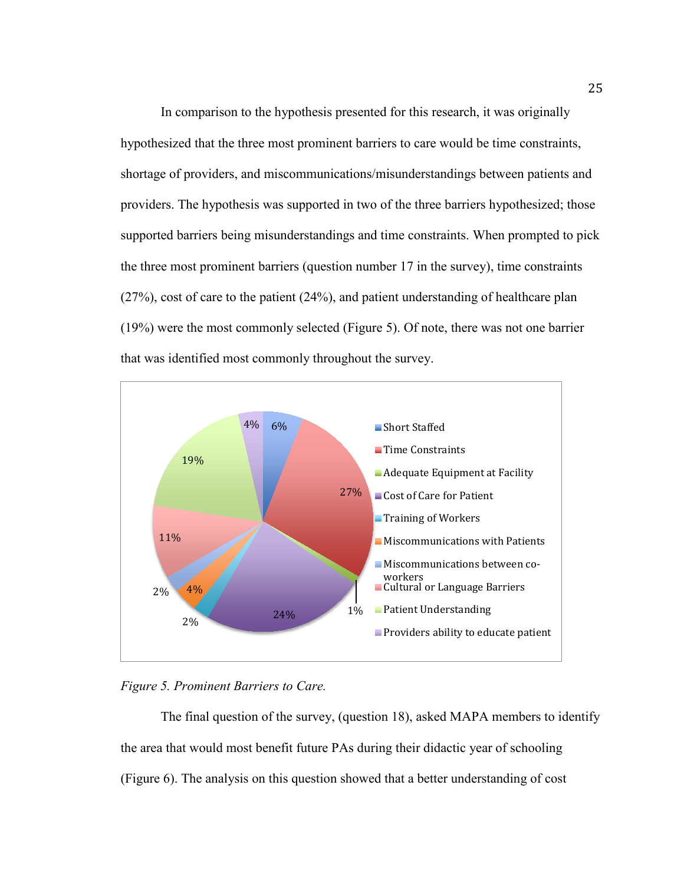In comparison to the hypothesis presented for this research, it was originally hypothesized that the three most prominent barriers to care would be time constraints, shortage of providers, and miscommunications/misunderstandings between patients and providers. The hypothesis was supported in two of the three barriers hypothesized; those supported barriers being misunderstandings and time constraints. When prompted to pick the three most prominent barriers (question number 17 in the survey), time constraints (27%), cost of care to the patient (24%), and patient understanding of healthcare plan (19%) were the most commonly selected (Figure 5). Of note, there was not one barrier that was identified most commonly throughout the survey.





The final question of the survey, (question 18), asked MAPA members to identify the area that would most benefit future PAs during their didactic year of schooling (Figure 6). The analysis on this question showed that a better understanding of cost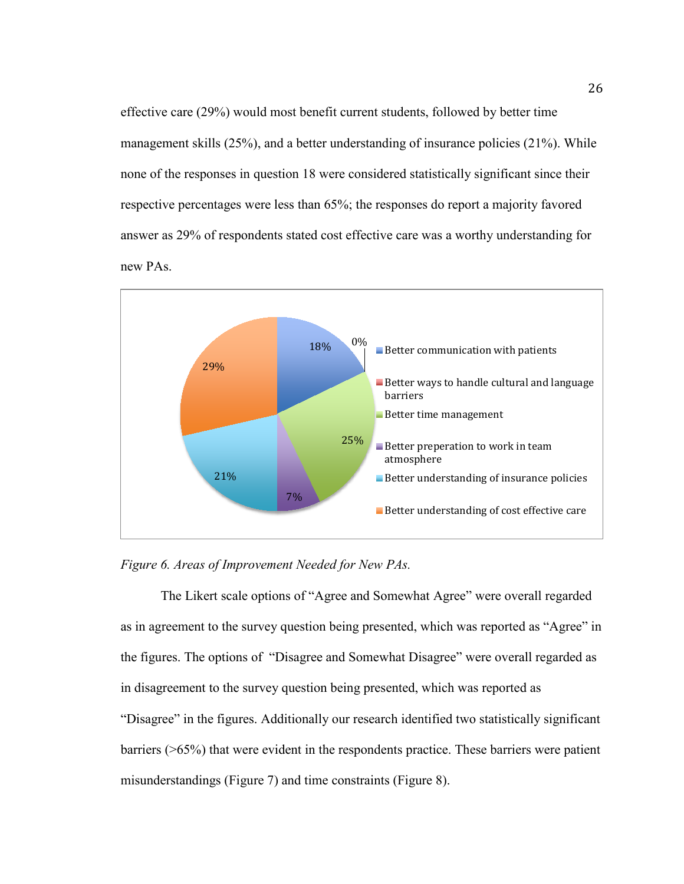effective care (29%) would most benefit current students, followed by better time management skills  $(25\%)$ , and a better understanding of insurance policies  $(21\%)$ . While none of the responses in question 18 were considered statistically significant since their respective percentages were less than 65%; the responses do report a majority favored answer as 29% of respondents stated cost effective care was a worthy understanding for new PAs.





The Likert scale options of "Agree and Somewhat Agree" were overall regarded as in agreement to the survey question being presented, which was reported as "Agree" in the figures. The options of "Disagree and Somewhat Disagree" were overall regarded as in disagreement to the survey question being presented, which was reported as "Disagree" in the figures. Additionally our research identified two statistically significant barriers (>65%) that were evident in the respondents practice. These barriers were patient misunderstandings (Figure 7) and time constraints (Figure 8).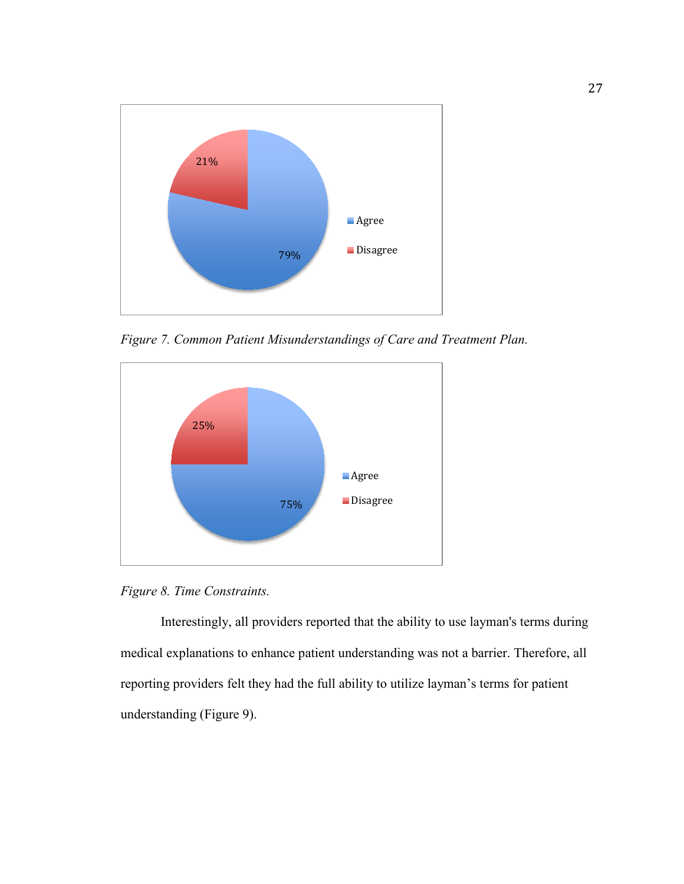

*Figure 7. Common Patient Misunderstandings of Care and Treatment Plan.*



*Figure 8. Time Constraints.* 

Interestingly, all providers reported that the ability to use layman's terms during medical explanations to enhance patient understanding was not a barrier. Therefore, all reporting providers felt they had the full ability to utilize layman's terms for patient understanding (Figure 9).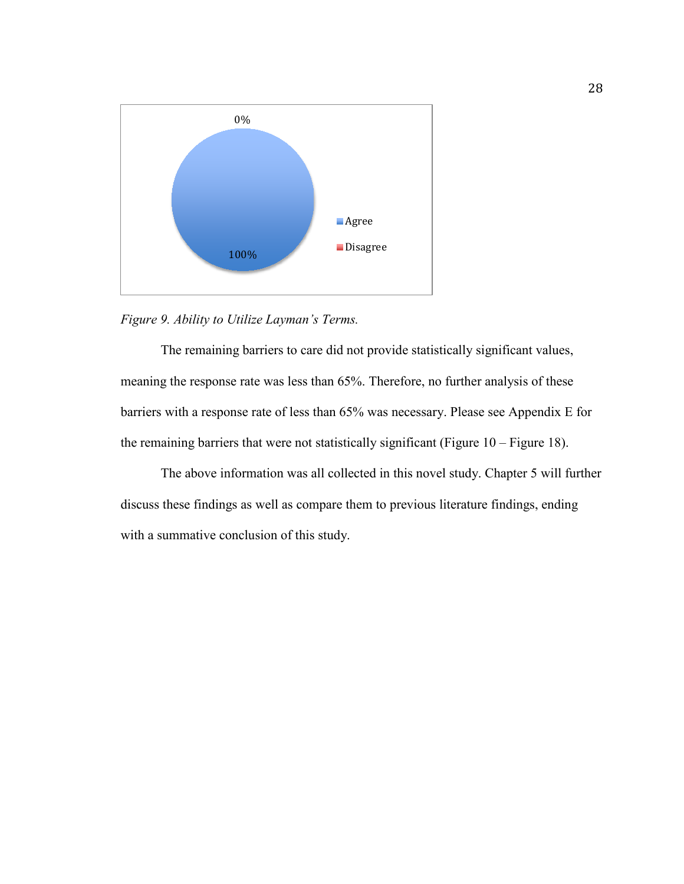

*Figure 9. Ability to Utilize Layman's Terms.* 

The remaining barriers to care did not provide statistically significant values, meaning the response rate was less than 65%. Therefore, no further analysis of these barriers with a response rate of less than 65% was necessary. Please see Appendix E for the remaining barriers that were not statistically significant (Figure  $10 -$  Figure 18).

 The above information was all collected in this novel study. Chapter 5 will further discuss these findings as well as compare them to previous literature findings, ending with a summative conclusion of this study.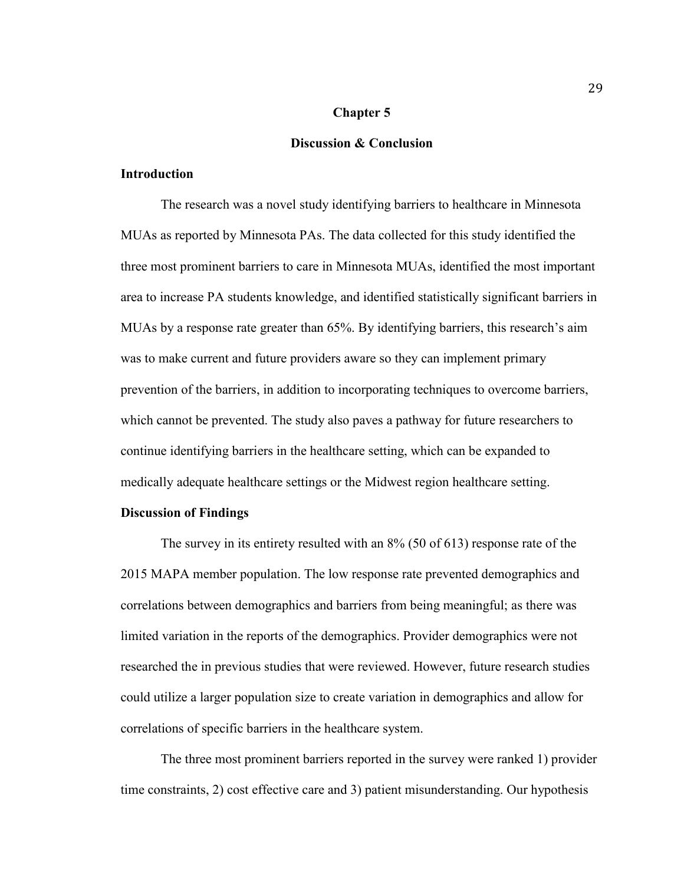#### **Chapter 5**

## **Discussion & Conclusion**

## **Introduction**

The research was a novel study identifying barriers to healthcare in Minnesota MUAs as reported by Minnesota PAs. The data collected for this study identified the three most prominent barriers to care in Minnesota MUAs, identified the most important area to increase PA students knowledge, and identified statistically significant barriers in MUAs by a response rate greater than 65%. By identifying barriers, this research's aim was to make current and future providers aware so they can implement primary prevention of the barriers, in addition to incorporating techniques to overcome barriers, which cannot be prevented. The study also paves a pathway for future researchers to continue identifying barriers in the healthcare setting, which can be expanded to medically adequate healthcare settings or the Midwest region healthcare setting.

## **Discussion of Findings**

The survey in its entirety resulted with an 8% (50 of 613) response rate of the 2015 MAPA member population. The low response rate prevented demographics and correlations between demographics and barriers from being meaningful; as there was limited variation in the reports of the demographics. Provider demographics were not researched the in previous studies that were reviewed. However, future research studies could utilize a larger population size to create variation in demographics and allow for correlations of specific barriers in the healthcare system.

The three most prominent barriers reported in the survey were ranked 1) provider time constraints, 2) cost effective care and 3) patient misunderstanding. Our hypothesis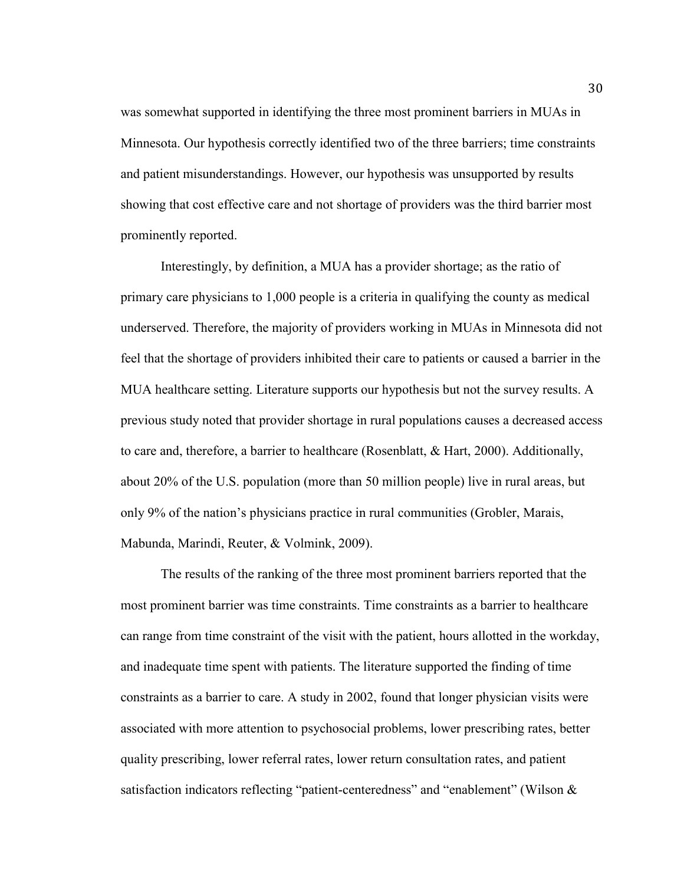was somewhat supported in identifying the three most prominent barriers in MUAs in Minnesota. Our hypothesis correctly identified two of the three barriers; time constraints and patient misunderstandings. However, our hypothesis was unsupported by results showing that cost effective care and not shortage of providers was the third barrier most prominently reported.

Interestingly, by definition, a MUA has a provider shortage; as the ratio of primary care physicians to 1,000 people is a criteria in qualifying the county as medical underserved. Therefore, the majority of providers working in MUAs in Minnesota did not feel that the shortage of providers inhibited their care to patients or caused a barrier in the MUA healthcare setting. Literature supports our hypothesis but not the survey results. A previous study noted that provider shortage in rural populations causes a decreased access to care and, therefore, a barrier to healthcare (Rosenblatt, & Hart, 2000). Additionally, about 20% of the U.S. population (more than 50 million people) live in rural areas, but only 9% of the nation's physicians practice in rural communities (Grobler, Marais, Mabunda, Marindi, Reuter, & Volmink, 2009).

The results of the ranking of the three most prominent barriers reported that the most prominent barrier was time constraints. Time constraints as a barrier to healthcare can range from time constraint of the visit with the patient, hours allotted in the workday, and inadequate time spent with patients. The literature supported the finding of time constraints as a barrier to care. A study in 2002, found that longer physician visits were associated with more attention to psychosocial problems, lower prescribing rates, better quality prescribing, lower referral rates, lower return consultation rates, and patient satisfaction indicators reflecting "patient-centeredness" and "enablement" (Wilson &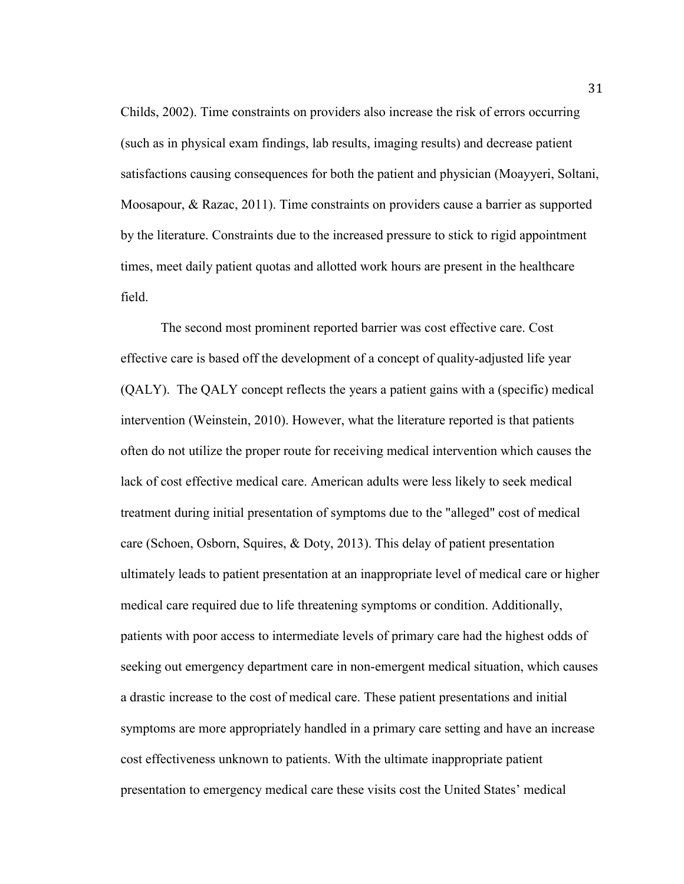Childs, 2002). Time constraints on providers also increase the risk of errors occurring (such as in physical exam findings, lab results, imaging results) and decrease patient satisfactions causing consequences for both the patient and physician (Moayyeri, Soltani, Moosapour, & Razac, 2011). Time constraints on providers cause a barrier as supported by the literature. Constraints due to the increased pressure to stick to rigid appointment times, meet daily patient quotas and allotted work hours are present in the healthcare field.

The second most prominent reported barrier was cost effective care. Cost effective care is based off the development of a concept of quality-adjusted life year (QALY). The QALY concept reflects the years a patient gains with a (specific) medical intervention (Weinstein, 2010). However, what the literature reported is that patients often do not utilize the proper route for receiving medical intervention which causes the lack of cost effective medical care. American adults were less likely to seek medical treatment during initial presentation of symptoms due to the "alleged" cost of medical care (Schoen, Osborn, Squires, & Doty, 2013). This delay of patient presentation ultimately leads to patient presentation at an inappropriate level of medical care or higher medical care required due to life threatening symptoms or condition. Additionally, patients with poor access to intermediate levels of primary care had the highest odds of seeking out emergency department care in non-emergent medical situation, which causes a drastic increase to the cost of medical care. These patient presentations and initial symptoms are more appropriately handled in a primary care setting and have an increase cost effectiveness unknown to patients. With the ultimate inappropriate patient presentation to emergency medical care these visits cost the United States' medical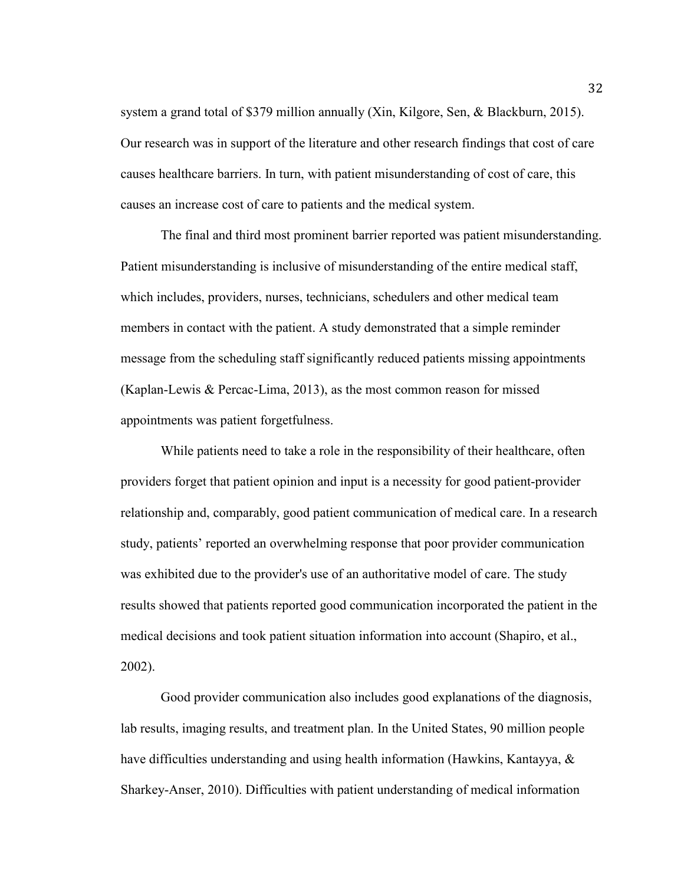system a grand total of \$379 million annually (Xin, Kilgore, Sen, & Blackburn, 2015). Our research was in support of the literature and other research findings that cost of care causes healthcare barriers. In turn, with patient misunderstanding of cost of care, this causes an increase cost of care to patients and the medical system.

The final and third most prominent barrier reported was patient misunderstanding. Patient misunderstanding is inclusive of misunderstanding of the entire medical staff, which includes, providers, nurses, technicians, schedulers and other medical team members in contact with the patient. A study demonstrated that a simple reminder message from the scheduling staff significantly reduced patients missing appointments (Kaplan-Lewis & Percac-Lima, 2013), as the most common reason for missed appointments was patient forgetfulness.

While patients need to take a role in the responsibility of their healthcare, often providers forget that patient opinion and input is a necessity for good patient-provider relationship and, comparably, good patient communication of medical care. In a research study, patients' reported an overwhelming response that poor provider communication was exhibited due to the provider's use of an authoritative model of care. The study results showed that patients reported good communication incorporated the patient in the medical decisions and took patient situation information into account (Shapiro, et al., 2002).

Good provider communication also includes good explanations of the diagnosis, lab results, imaging results, and treatment plan. In the United States, 90 million people have difficulties understanding and using health information (Hawkins, Kantayya, & Sharkey-Anser, 2010). Difficulties with patient understanding of medical information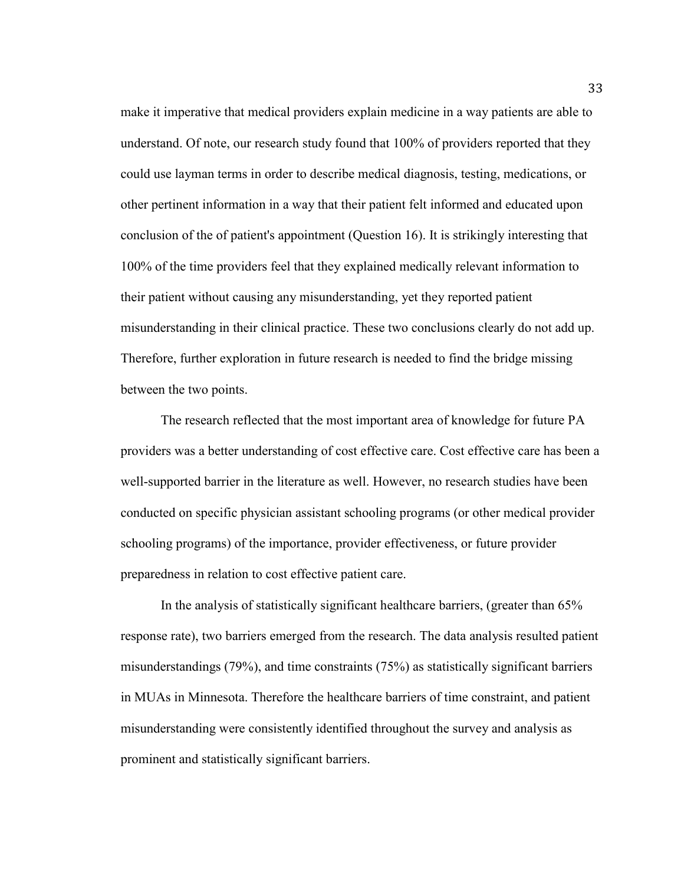make it imperative that medical providers explain medicine in a way patients are able to understand. Of note, our research study found that 100% of providers reported that they could use layman terms in order to describe medical diagnosis, testing, medications, or other pertinent information in a way that their patient felt informed and educated upon conclusion of the of patient's appointment (Question 16). It is strikingly interesting that 100% of the time providers feel that they explained medically relevant information to their patient without causing any misunderstanding, yet they reported patient misunderstanding in their clinical practice. These two conclusions clearly do not add up. Therefore, further exploration in future research is needed to find the bridge missing between the two points.

The research reflected that the most important area of knowledge for future PA providers was a better understanding of cost effective care. Cost effective care has been a well-supported barrier in the literature as well. However, no research studies have been conducted on specific physician assistant schooling programs (or other medical provider schooling programs) of the importance, provider effectiveness, or future provider preparedness in relation to cost effective patient care.

In the analysis of statistically significant healthcare barriers, (greater than 65% response rate), two barriers emerged from the research. The data analysis resulted patient misunderstandings (79%), and time constraints (75%) as statistically significant barriers in MUAs in Minnesota. Therefore the healthcare barriers of time constraint, and patient misunderstanding were consistently identified throughout the survey and analysis as prominent and statistically significant barriers.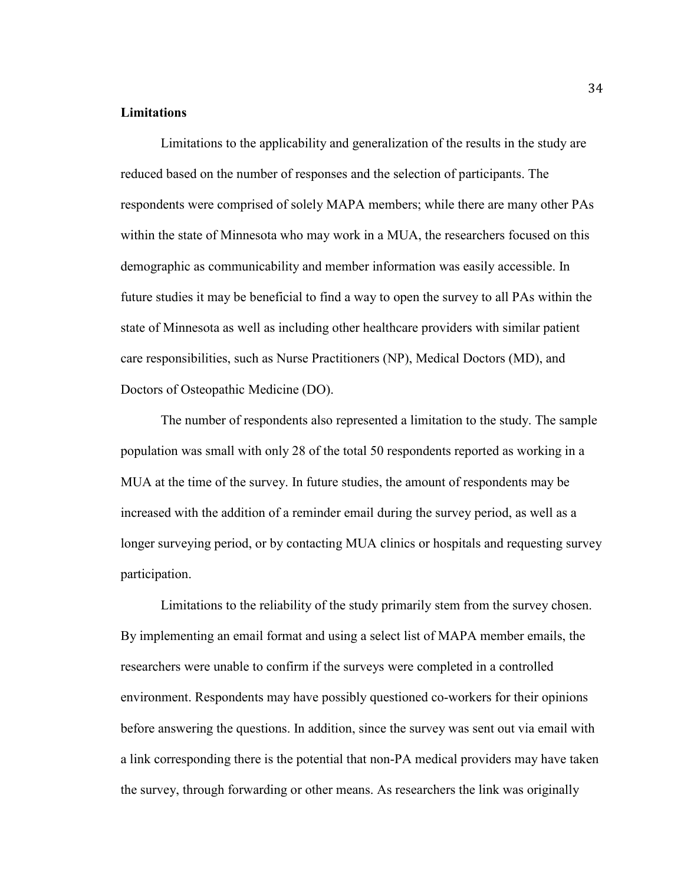## **Limitations**

Limitations to the applicability and generalization of the results in the study are reduced based on the number of responses and the selection of participants. The respondents were comprised of solely MAPA members; while there are many other PAs within the state of Minnesota who may work in a MUA, the researchers focused on this demographic as communicability and member information was easily accessible. In future studies it may be beneficial to find a way to open the survey to all PAs within the state of Minnesota as well as including other healthcare providers with similar patient care responsibilities, such as Nurse Practitioners (NP), Medical Doctors (MD), and Doctors of Osteopathic Medicine (DO).

The number of respondents also represented a limitation to the study. The sample population was small with only 28 of the total 50 respondents reported as working in a MUA at the time of the survey. In future studies, the amount of respondents may be increased with the addition of a reminder email during the survey period, as well as a longer surveying period, or by contacting MUA clinics or hospitals and requesting survey participation.

Limitations to the reliability of the study primarily stem from the survey chosen. By implementing an email format and using a select list of MAPA member emails, the researchers were unable to confirm if the surveys were completed in a controlled environment. Respondents may have possibly questioned co-workers for their opinions before answering the questions. In addition, since the survey was sent out via email with a link corresponding there is the potential that non-PA medical providers may have taken the survey, through forwarding or other means. As researchers the link was originally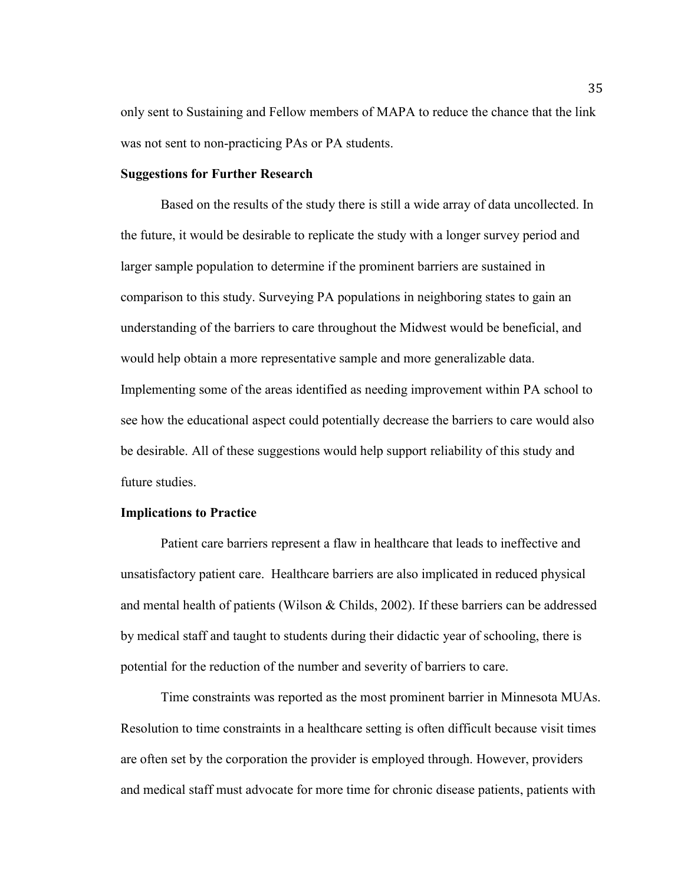only sent to Sustaining and Fellow members of MAPA to reduce the chance that the link was not sent to non-practicing PAs or PA students.

#### **Suggestions for Further Research**

 Based on the results of the study there is still a wide array of data uncollected. In the future, it would be desirable to replicate the study with a longer survey period and larger sample population to determine if the prominent barriers are sustained in comparison to this study. Surveying PA populations in neighboring states to gain an understanding of the barriers to care throughout the Midwest would be beneficial, and would help obtain a more representative sample and more generalizable data. Implementing some of the areas identified as needing improvement within PA school to see how the educational aspect could potentially decrease the barriers to care would also be desirable. All of these suggestions would help support reliability of this study and future studies.

#### **Implications to Practice**

Patient care barriers represent a flaw in healthcare that leads to ineffective and unsatisfactory patient care. Healthcare barriers are also implicated in reduced physical and mental health of patients (Wilson & Childs, 2002). If these barriers can be addressed by medical staff and taught to students during their didactic year of schooling, there is potential for the reduction of the number and severity of barriers to care.

Time constraints was reported as the most prominent barrier in Minnesota MUAs. Resolution to time constraints in a healthcare setting is often difficult because visit times are often set by the corporation the provider is employed through. However, providers and medical staff must advocate for more time for chronic disease patients, patients with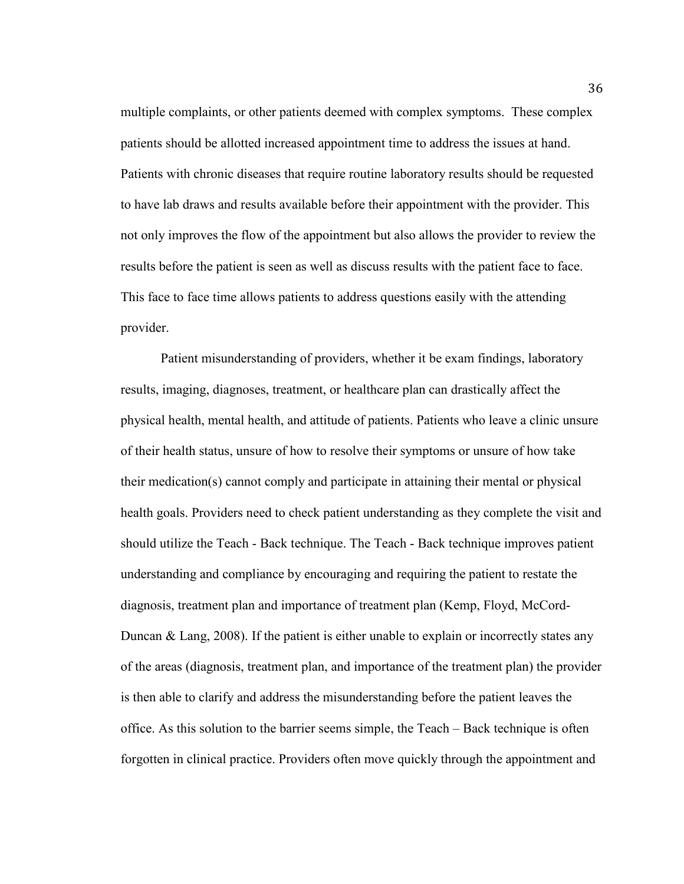multiple complaints, or other patients deemed with complex symptoms. These complex patients should be allotted increased appointment time to address the issues at hand. Patients with chronic diseases that require routine laboratory results should be requested to have lab draws and results available before their appointment with the provider. This not only improves the flow of the appointment but also allows the provider to review the results before the patient is seen as well as discuss results with the patient face to face. This face to face time allows patients to address questions easily with the attending provider.

Patient misunderstanding of providers, whether it be exam findings, laboratory results, imaging, diagnoses, treatment, or healthcare plan can drastically affect the physical health, mental health, and attitude of patients. Patients who leave a clinic unsure of their health status, unsure of how to resolve their symptoms or unsure of how take their medication(s) cannot comply and participate in attaining their mental or physical health goals. Providers need to check patient understanding as they complete the visit and should utilize the Teach - Back technique. The Teach - Back technique improves patient understanding and compliance by encouraging and requiring the patient to restate the diagnosis, treatment plan and importance of treatment plan (Kemp, Floyd, McCord-Duncan  $\&$  Lang, 2008). If the patient is either unable to explain or incorrectly states any of the areas (diagnosis, treatment plan, and importance of the treatment plan) the provider is then able to clarify and address the misunderstanding before the patient leaves the office. As this solution to the barrier seems simple, the Teach – Back technique is often forgotten in clinical practice. Providers often move quickly through the appointment and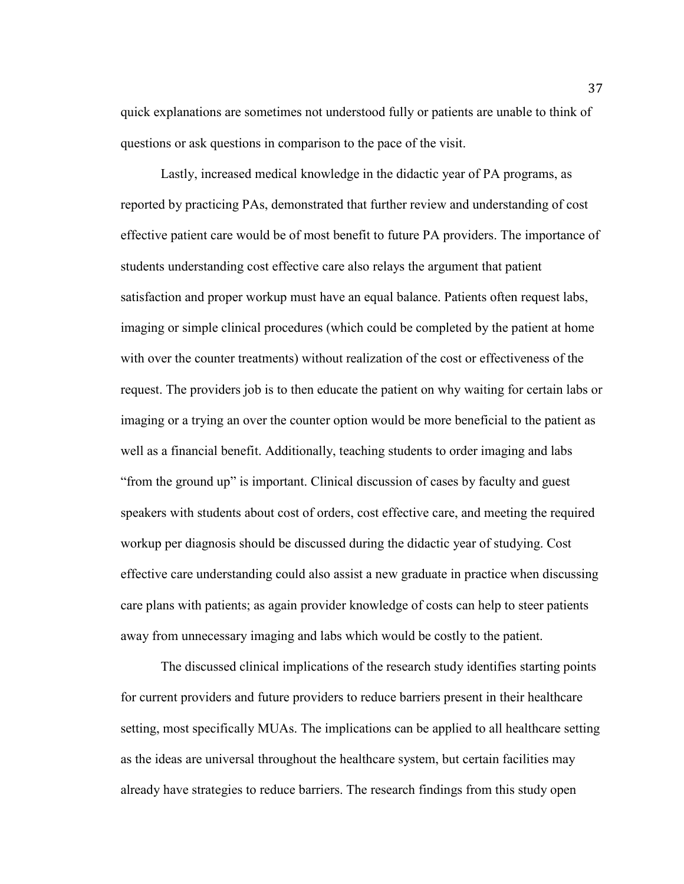quick explanations are sometimes not understood fully or patients are unable to think of questions or ask questions in comparison to the pace of the visit.

Lastly, increased medical knowledge in the didactic year of PA programs, as reported by practicing PAs, demonstrated that further review and understanding of cost effective patient care would be of most benefit to future PA providers. The importance of students understanding cost effective care also relays the argument that patient satisfaction and proper workup must have an equal balance. Patients often request labs, imaging or simple clinical procedures (which could be completed by the patient at home with over the counter treatments) without realization of the cost or effectiveness of the request. The providers job is to then educate the patient on why waiting for certain labs or imaging or a trying an over the counter option would be more beneficial to the patient as well as a financial benefit. Additionally, teaching students to order imaging and labs "from the ground up" is important. Clinical discussion of cases by faculty and guest speakers with students about cost of orders, cost effective care, and meeting the required workup per diagnosis should be discussed during the didactic year of studying. Cost effective care understanding could also assist a new graduate in practice when discussing care plans with patients; as again provider knowledge of costs can help to steer patients away from unnecessary imaging and labs which would be costly to the patient.

 The discussed clinical implications of the research study identifies starting points for current providers and future providers to reduce barriers present in their healthcare setting, most specifically MUAs. The implications can be applied to all healthcare setting as the ideas are universal throughout the healthcare system, but certain facilities may already have strategies to reduce barriers. The research findings from this study open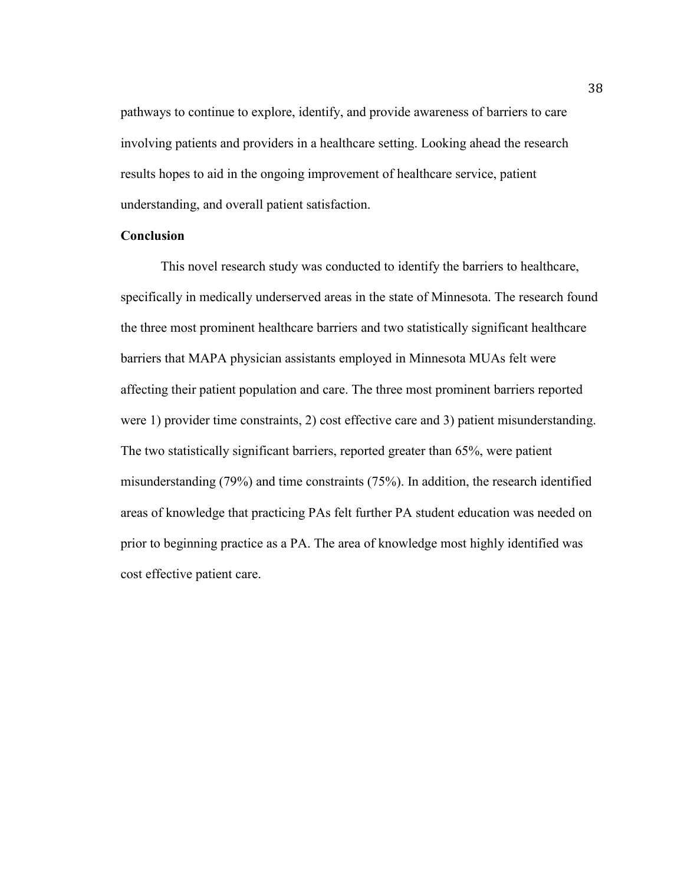pathways to continue to explore, identify, and provide awareness of barriers to care involving patients and providers in a healthcare setting. Looking ahead the research results hopes to aid in the ongoing improvement of healthcare service, patient understanding, and overall patient satisfaction.

## **Conclusion**

This novel research study was conducted to identify the barriers to healthcare, specifically in medically underserved areas in the state of Minnesota. The research found the three most prominent healthcare barriers and two statistically significant healthcare barriers that MAPA physician assistants employed in Minnesota MUAs felt were affecting their patient population and care. The three most prominent barriers reported were 1) provider time constraints, 2) cost effective care and 3) patient misunderstanding. The two statistically significant barriers, reported greater than 65%, were patient misunderstanding (79%) and time constraints (75%). In addition, the research identified areas of knowledge that practicing PAs felt further PA student education was needed on prior to beginning practice as a PA. The area of knowledge most highly identified was cost effective patient care.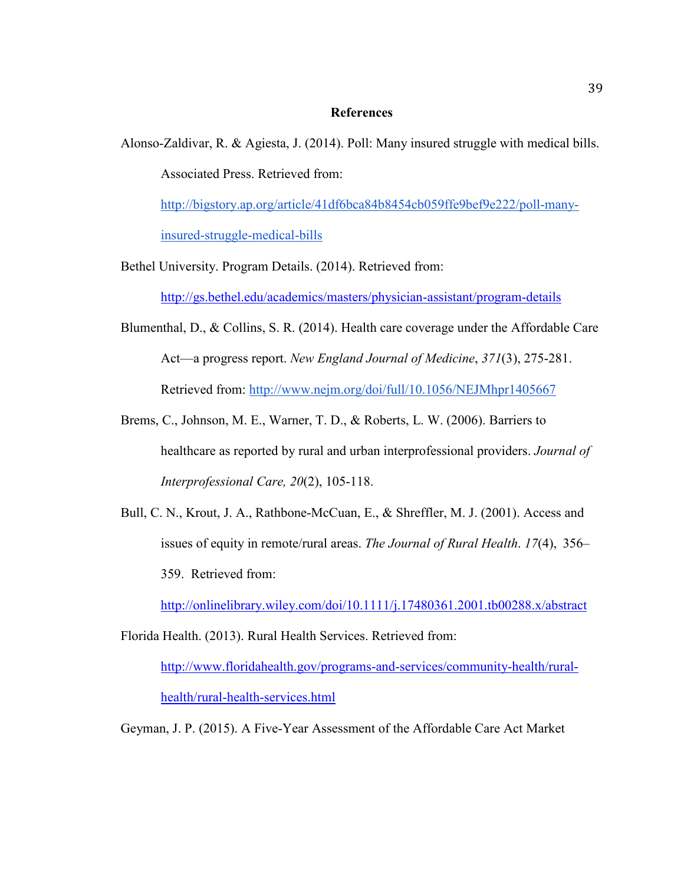#### **References**

Alonso-Zaldivar, R. & Agiesta, J. (2014). Poll: Many insured struggle with medical bills. Associated Press. Retrieved from:

[http://bigstory.ap.org/article/41df6bca84b8454cb059ffe9bef9e222/poll-many](http://bigstory.ap.org/article/41df6bca84b8454cb059ffe9bef9e222/poll-many-insured-struggle-medical-bills)[insured-struggle-medical-bills](http://bigstory.ap.org/article/41df6bca84b8454cb059ffe9bef9e222/poll-many-insured-struggle-medical-bills)

Bethel University. Program Details. (2014). Retrieved from:

<http://gs.bethel.edu/academics/masters/physician-assistant/program-details>

- Blumenthal, D., & Collins, S. R. (2014). Health care coverage under the Affordable Care Act—a progress report. *New England Journal of Medicine*, *371*(3), 275-281. Retrieved from:<http://www.nejm.org/doi/full/10.1056/NEJMhpr1405667>
- Brems, C., Johnson, M. E., Warner, T. D., & Roberts, L. W. (2006). Barriers to healthcare as reported by rural and urban interprofessional providers. *Journal of Interprofessional Care, 20*(2), 105-118.
- Bull, C. N., Krout, J. A., Rathbone-McCuan, E., & Shreffler, M. J. (2001). Access and issues of equity in remote/rural areas. *The Journal of Rural Health*. *17*(4), 356– 359. Retrieved from:

<http://onlinelibrary.wiley.com/doi/10.1111/j.17480361.2001.tb00288.x/abstract>

Florida Health. (2013). Rural Health Services. Retrieved from:

[http://www.floridahealth.gov/programs-and-services/community-health/rural](http://www.floridahealth.gov/programs-and-services/community-health/rural-health/rural-health-services.html)[health/rural-health-services.html](http://www.floridahealth.gov/programs-and-services/community-health/rural-health/rural-health-services.html) 

Geyman, J. P. (2015). A Five-Year Assessment of the Affordable Care Act Market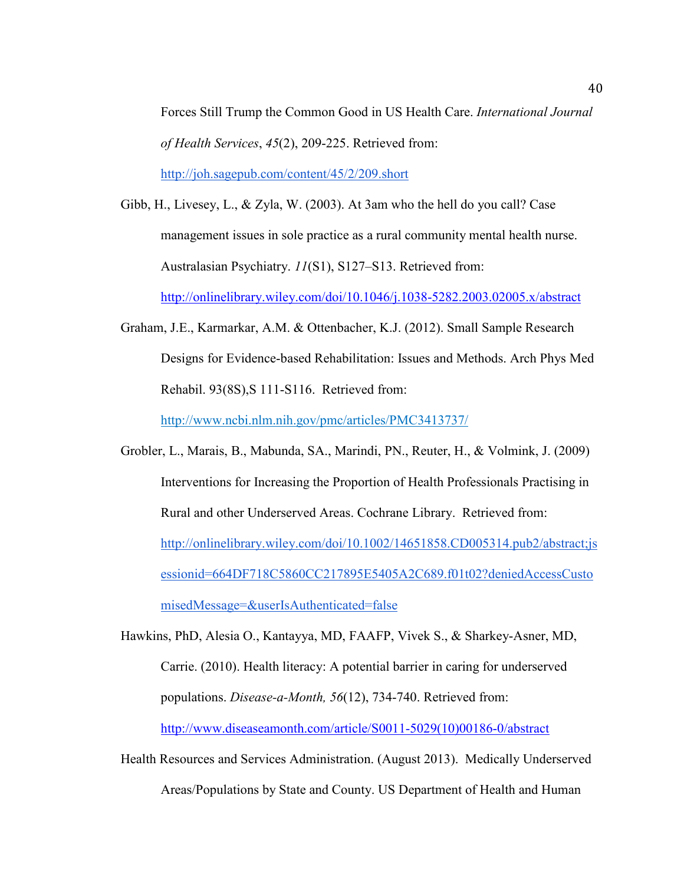Forces Still Trump the Common Good in US Health Care. *International Journal of Health Services*, *45*(2), 209-225. Retrieved from:

<http://joh.sagepub.com/content/45/2/209.short>

- Gibb, H., Livesey, L., & Zyla, W. (2003). At 3am who the hell do you call? Case management issues in sole practice as a rural community mental health nurse. Australasian Psychiatry. *11*(S1), S127–S13. Retrieved from: <http://onlinelibrary.wiley.com/doi/10.1046/j.1038-5282.2003.02005.x/abstract>
- Graham, J.E., Karmarkar, A.M. & Ottenbacher, K.J. (2012). Small Sample Research Designs for Evidence-based Rehabilitation: Issues and Methods. Arch Phys Med Rehabil. 93(8S),S 111-S116. Retrieved from:

http://www.ncbi.nlm.nih.gov/pmc/articles/PMC3413737/

Grobler, L., Marais, B., Mabunda, SA., Marindi, PN., Reuter, H., & Volmink, J. (2009) Interventions for Increasing the Proportion of Health Professionals Practising in Rural and other Underserved Areas. Cochrane Library. Retrieved from: [http://onlinelibrary.wiley.com/doi/10.1002/14651858.CD005314.pub2/abstract;js](http://onlinelibrary.wiley.com/doi/10.1002/14651858.CD005314.pub2/abstract;jsessionid=664DF718C5860CC217895E5405A2C689.f01t02?deniedAccessCustomisedMessage=&userIsAuthenticated=false) [essionid=664DF718C5860CC217895E5405A2C689.f01t02?deniedAccessCusto](http://onlinelibrary.wiley.com/doi/10.1002/14651858.CD005314.pub2/abstract;jsessionid=664DF718C5860CC217895E5405A2C689.f01t02?deniedAccessCustomisedMessage=&userIsAuthenticated=false) [misedMessage=&userIsAuthenticated=false](http://onlinelibrary.wiley.com/doi/10.1002/14651858.CD005314.pub2/abstract;jsessionid=664DF718C5860CC217895E5405A2C689.f01t02?deniedAccessCustomisedMessage=&userIsAuthenticated=false) 

Hawkins, PhD, Alesia O., Kantayya, MD, FAAFP, Vivek S., & Sharkey-Asner, MD, Carrie. (2010). Health literacy: A potential barrier in caring for underserved populations. *Disease-a-Month, 56*(12), 734-740. Retrieved from: [http://www.diseaseamonth.com/article/S0011-5029\(10\)00186-0/abstract](http://www.diseaseamonth.com/article/S0011-5029(10)00186-0/abstract) 

Health Resources and Services Administration. (August 2013). Medically Underserved Areas/Populations by State and County. US Department of Health and Human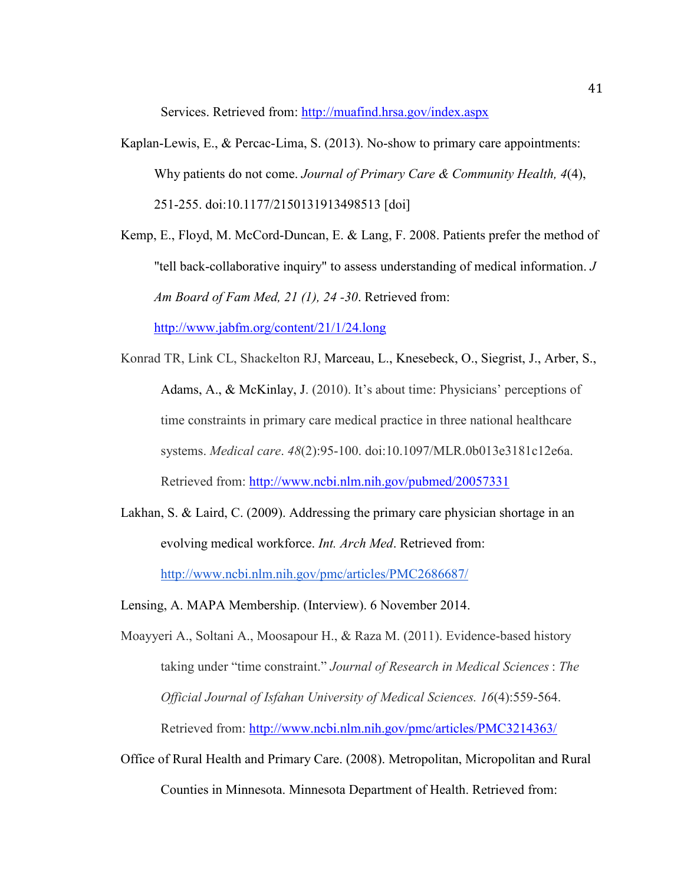Services. Retrieved from:<http://muafind.hrsa.gov/index.aspx>

Kaplan-Lewis, E., & Percac-Lima, S. (2013). No-show to primary care appointments: Why patients do not come. *Journal of Primary Care & Community Health, 4*(4), 251-255. doi:10.1177/2150131913498513 [doi]

Kemp, E., Floyd, M. McCord-Duncan, E. & Lang, F. 2008. Patients prefer the method of "tell back-collaborative inquiry" to assess understanding of medical information. *J Am Board of Fam Med, 21 (1), 24 -30*. Retrieved from:

<http://www.jabfm.org/content/21/1/24.long>

- Konrad TR, Link CL, Shackelton RJ, Marceau, L., Knesebeck, O., Siegrist, J., Arber, S., Adams, A., & McKinlay, J. (2010). It's about time: Physicians' perceptions of time constraints in primary care medical practice in three national healthcare systems. *Medical care*. *48*(2):95-100. doi:10.1097/MLR.0b013e3181c12e6a. Retrieved from:<http://www.ncbi.nlm.nih.gov/pubmed/20057331>
- Lakhan, S. & Laird, C. (2009). Addressing the primary care physician shortage in an evolving medical workforce. *Int. Arch Med*. Retrieved from: <http://www.ncbi.nlm.nih.gov/pmc/articles/PMC2686687/>
- Lensing, A. MAPA Membership. (Interview). 6 November 2014.

Moayyeri A., Soltani A., Moosapour H., & Raza M. (2011). Evidence-based history taking under "time constraint." *Journal of Research in Medical Sciences* : *The Official Journal of Isfahan University of Medical Sciences. 16*(4):559-564. Retrieved from:<http://www.ncbi.nlm.nih.gov/pmc/articles/PMC3214363/>

Office of Rural Health and Primary Care. (2008). Metropolitan, Micropolitan and Rural Counties in Minnesota. Minnesota Department of Health. Retrieved from: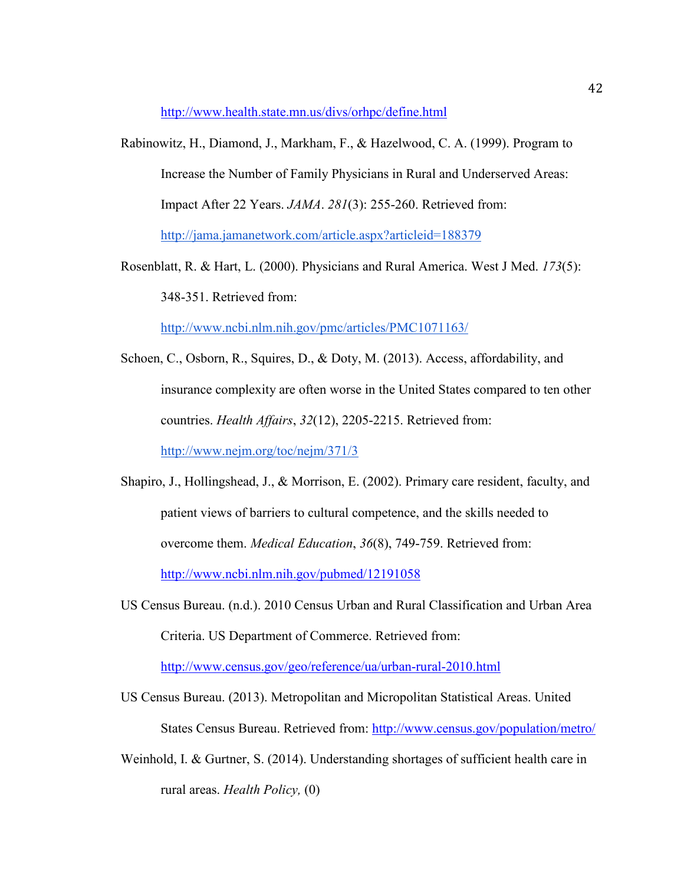<http://www.health.state.mn.us/divs/orhpc/define.html>

- Rabinowitz, H., Diamond, J., Markham, F., & Hazelwood, C. A. (1999). Program to Increase the Number of Family Physicians in Rural and Underserved Areas: Impact After 22 Years. *JAMA*. *281*(3): 255-260. Retrieved from: <http://jama.jamanetwork.com/article.aspx?articleid=188379>
- Rosenblatt, R. & Hart, L. (2000). Physicians and Rural America. West J Med. *173*(5): 348-351. Retrieved from:

<http://www.ncbi.nlm.nih.gov/pmc/articles/PMC1071163/>

- Schoen, C., Osborn, R., Squires, D., & Doty, M. (2013). Access, affordability, and insurance complexity are often worse in the United States compared to ten other countries. *Health Affairs*, *32*(12), 2205-2215. Retrieved from: <http://www.nejm.org/toc/nejm/371/3>
- Shapiro, J., Hollingshead, J., & Morrison, E. (2002). Primary care resident, faculty, and patient views of barriers to cultural competence, and the skills needed to overcome them. *Medical Education*, *36*(8), 749-759. Retrieved from: <http://www.ncbi.nlm.nih.gov/pubmed/12191058>
- US Census Bureau. (n.d.). 2010 Census Urban and Rural Classification and Urban Area Criteria. US Department of Commerce. Retrieved from:

<http://www.census.gov/geo/reference/ua/urban-rural-2010.html>

- US Census Bureau. (2013). Metropolitan and Micropolitan Statistical Areas. United States Census Bureau. Retrieved from:<http://www.census.gov/population/metro/>
- Weinhold, I. & Gurtner, S. (2014). Understanding shortages of sufficient health care in rural areas. *Health Policy,* (0)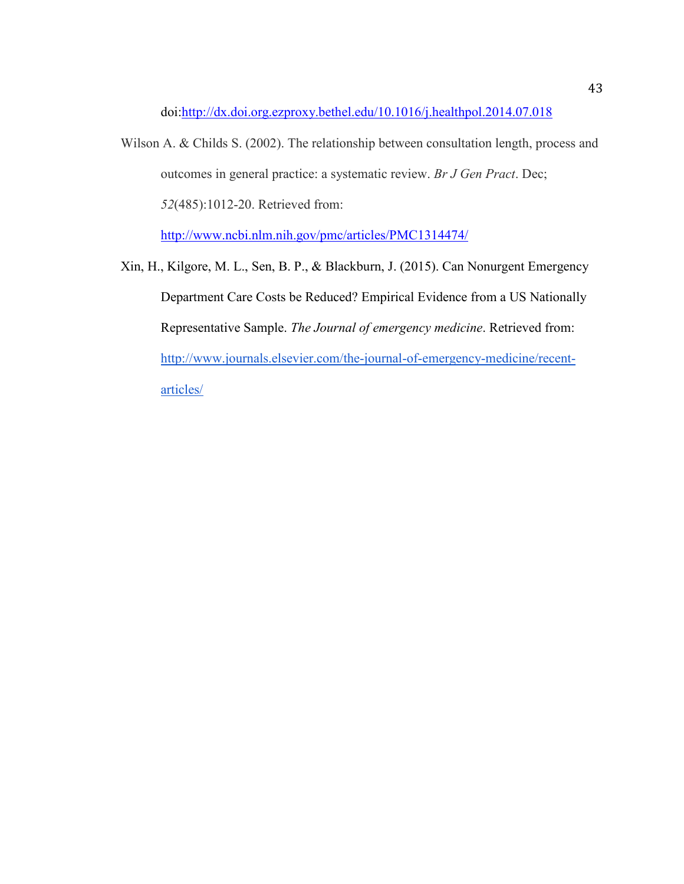doi[:http://dx.doi.org.ezproxy.bethel.edu/10.1016/j.healthpol.2014.07.018](http://dx.doi.org.ezproxy.bethel.edu/10.1016/j.healthpol.2014.07.018)

Wilson A. & Childs S. (2002). The relationship between consultation length, process and outcomes in general practice: a systematic review. *Br J Gen Pract*. Dec; *52*(485):1012-20. Retrieved from:

<http://www.ncbi.nlm.nih.gov/pmc/articles/PMC1314474/>

Xin, H., Kilgore, M. L., Sen, B. P., & Blackburn, J. (2015). Can Nonurgent Emergency Department Care Costs be Reduced? Empirical Evidence from a US Nationally Representative Sample. *The Journal of emergency medicine*. Retrieved from: [http://www.journals.elsevier.com/the-journal-of-emergency-medicine/recent](http://www.journals.elsevier.com/the-journal-of-emergency-medicine/recent-articles/)[articles/](http://www.journals.elsevier.com/the-journal-of-emergency-medicine/recent-articles/)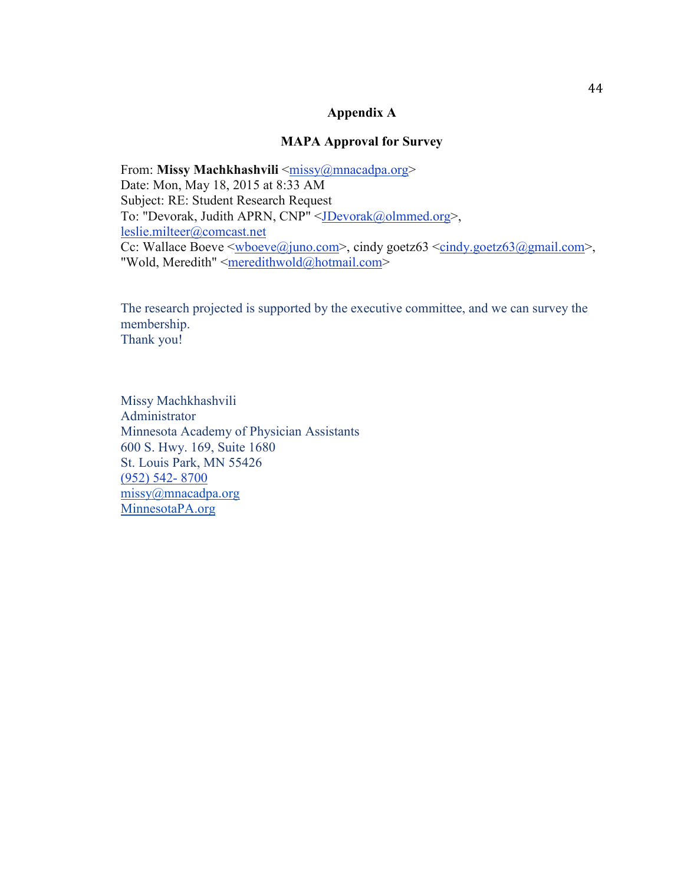## **Appendix A**

## **MAPA Approval for Survey**

From: Missy Machkhashvili [<missy@mnacadpa.org>](mailto:missy@mnacadpa.org) Date: Mon, May 18, 2015 at 8:33 AM Subject: RE: Student Research Request To: "Devorak, Judith APRN, CNP" [<JDevorak@olmmed.org>](mailto:JDevorak@olmmed.org), [leslie.milteer@comcast.net](mailto:leslie.milteer@comcast.net) Cc: Wallace Boeve  $\leq$ wboeve $\omega$ juno.com>, cindy goetz63  $\leq$ cindy.goetz63 $\omega$ gmail.com>, "Wold, Meredith" [<meredithwold@hotmail.com>](mailto:meredithwold@hotmail.com)

The research projected is supported by the executive committee, and we can survey the membership. Thank you!

Missy Machkhashvili Administrator Minnesota Academy of Physician Assistants 600 S. Hwy. 169, Suite 1680 St. Louis Park, MN 55426 [\(952\) 542- 8700](tel:%28952%29%20542-%208700) [missy@mnacadpa.org](mailto:missy@mnacadpa.org) [MinnesotaPA.org](http://www.mnacadpa.org/2015-fall-conference)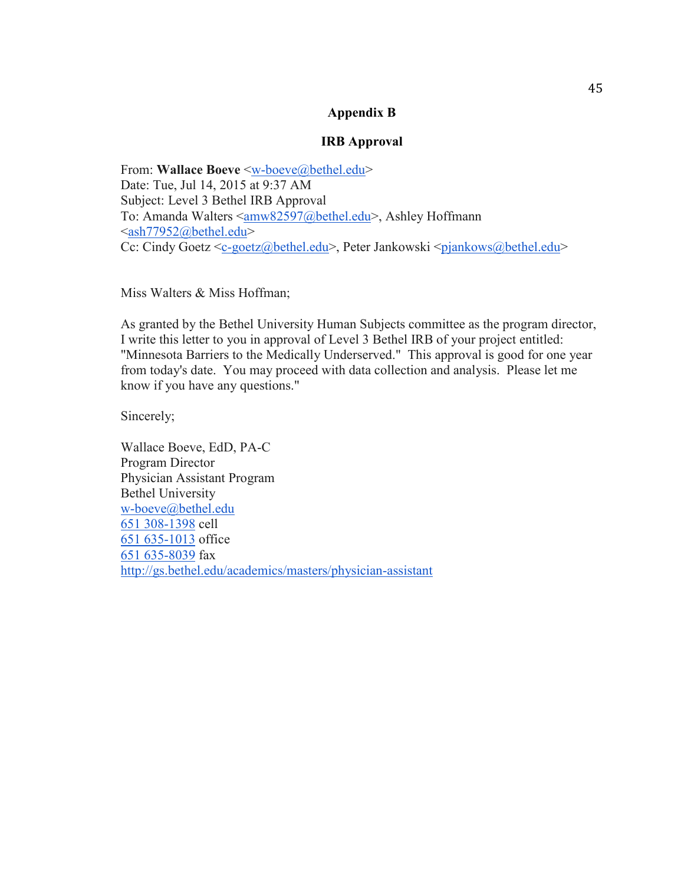## **Appendix B**

## **IRB Approval**

From: **Wallace Boeve** [<w-boeve@bethel.edu>](mailto:w-boeve@bethel.edu) Date: Tue, Jul 14, 2015 at 9:37 AM Subject: Level 3 Bethel IRB Approval To: Amanda Walters [<amw82597@bethel.edu>](mailto:amw82597@bethel.edu), Ashley Hoffmann [<ash77952@bethel.edu>](mailto:ash77952@bethel.edu) Cc: Cindy Goetz [<c-goetz@bethel.edu>](mailto:c-goetz@bethel.edu), Peter Jankowski [<pjankows@bethel.edu>](mailto:pjankows@bethel.edu)

Miss Walters & Miss Hoffman;

As granted by the Bethel University Human Subjects committee as the program director, I write this letter to you in approval of Level 3 Bethel IRB of your project entitled: "Minnesota Barriers to the Medically Underserved." This approval is good for one year from today's date. You may proceed with data collection and analysis. Please let me know if you have any questions."

Sincerely;

Wallace Boeve, EdD, PA-C Program Director Physician Assistant Program Bethel University [w-boeve@bethel.edu](mailto:w-boeve@bethel.edu) [651 308-1398](tel:651%20308-1398) cell [651 635-1013](tel:651%20635-1013) office [651 635-8039](tel:651%20635-8039) fax <http://gs.bethel.edu/academics/masters/physician-assistant>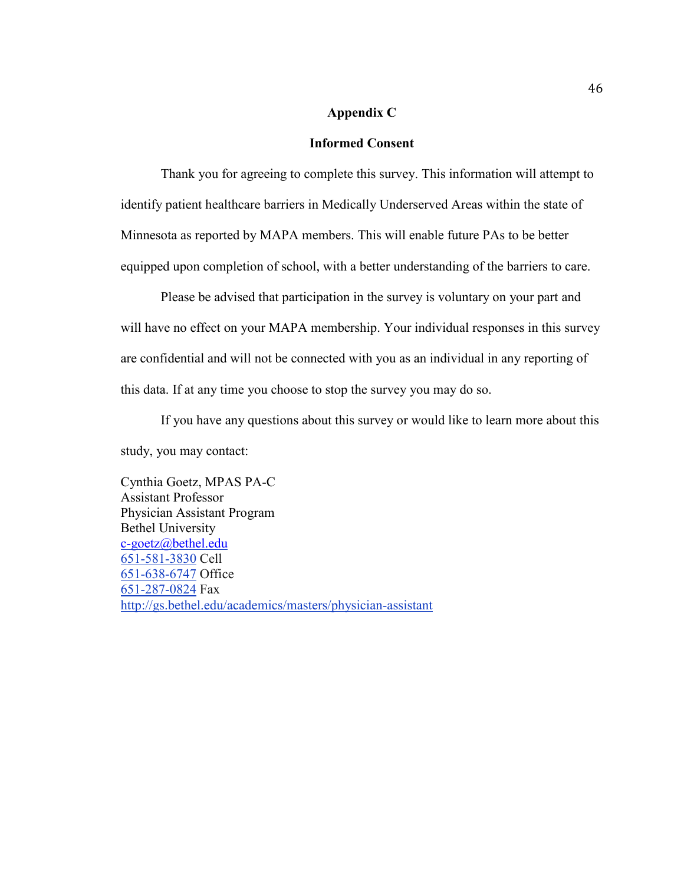#### **Appendix C**

## **Informed Consent**

Thank you for agreeing to complete this survey. This information will attempt to identify patient healthcare barriers in Medically Underserved Areas within the state of Minnesota as reported by MAPA members. This will enable future PAs to be better equipped upon completion of school, with a better understanding of the barriers to care.

Please be advised that participation in the survey is voluntary on your part and will have no effect on your MAPA membership. Your individual responses in this survey are confidential and will not be connected with you as an individual in any reporting of this data. If at any time you choose to stop the survey you may do so.

If you have any questions about this survey or would like to learn more about this study, you may contact:

Cynthia Goetz, MPAS PA-C Assistant Professor Physician Assistant Program Bethel University [c-goetz@bethel.edu](mailto:c-goetz@bethel.edu) 651-581-3830 Cell 651-638-6747 Office 651-287-0824 Fax <http://gs.bethel.edu/academics/masters/physician-assistant>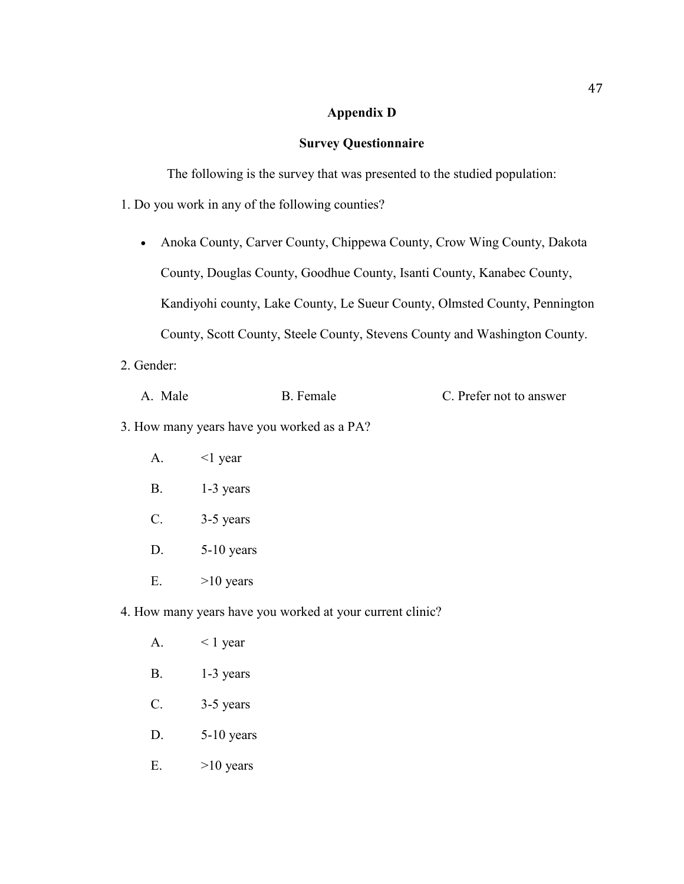## **Appendix D**

## **Survey Questionnaire**

The following is the survey that was presented to the studied population:

1. Do you work in any of the following counties?

- Anoka County, Carver County, Chippewa County, Crow Wing County, Dakota County, Douglas County, Goodhue County, Isanti County, Kanabec County, Kandiyohi county, Lake County, Le Sueur County, Olmsted County, Pennington County, Scott County, Steele County, Stevens County and Washington County.
- 2. Gender:

| A. Male | B. Female | C. Prefer not to answer |
|---------|-----------|-------------------------|
|         |           |                         |

- 3. How many years have you worked as a PA?
	- A.  $\leq$  | year
	- B. 1-3 years
	- C. 3-5 years
	- D. 5-10 years
	- E.  $>10$  years
- 4. How many years have you worked at your current clinic?
	- A.  $\lt 1$  year
	- B. 1-3 years
	- C. 3-5 years
	- D. 5-10 years
	- E.  $>10$  years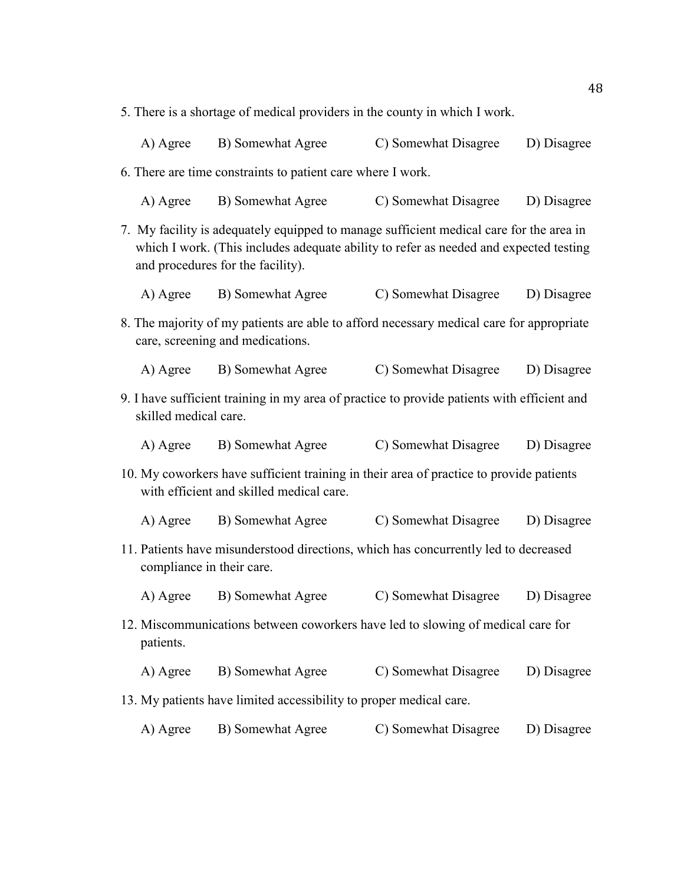5. There is a shortage of medical providers in the county in which I work.

| A) Agree | B) Somewhat Agree | C) Somewhat Disagree | D) Disagree |
|----------|-------------------|----------------------|-------------|
|          |                   |                      |             |

6. There are time constraints to patient care where I work.

| A) Agree | B) Somewhat Agree | C) Somewhat Disagree | D) Disagree |
|----------|-------------------|----------------------|-------------|
|          |                   |                      |             |

- 7. My facility is adequately equipped to manage sufficient medical care for the area in which I work. (This includes adequate ability to refer as needed and expected testing and procedures for the facility).
	- A) Agree B) Somewhat Agree C) Somewhat Disagree D) Disagree
- 8. The majority of my patients are able to afford necessary medical care for appropriate care, screening and medications.
	- A) Agree B) Somewhat Agree C) Somewhat Disagree D) Disagree
- 9. I have sufficient training in my area of practice to provide patients with efficient and skilled medical care.

| A) Agree | B) Somewhat Agree | C) Somewhat Disagree | D) Disagree |
|----------|-------------------|----------------------|-------------|
|          |                   |                      |             |

10. My coworkers have sufficient training in their area of practice to provide patients with efficient and skilled medical care.

A) Agree B) Somewhat Agree C) Somewhat Disagree D) Disagree

- 11. Patients have misunderstood directions, which has concurrently led to decreased compliance in their care.
	- A) Agree B) Somewhat Agree C) Somewhat Disagree D) Disagree
- 12. Miscommunications between coworkers have led to slowing of medical care for patients.
	- A) Agree B) Somewhat Agree C) Somewhat Disagree D) Disagree
- 13. My patients have limited accessibility to proper medical care.
	- A) Agree B) Somewhat Agree C) Somewhat Disagree D) Disagree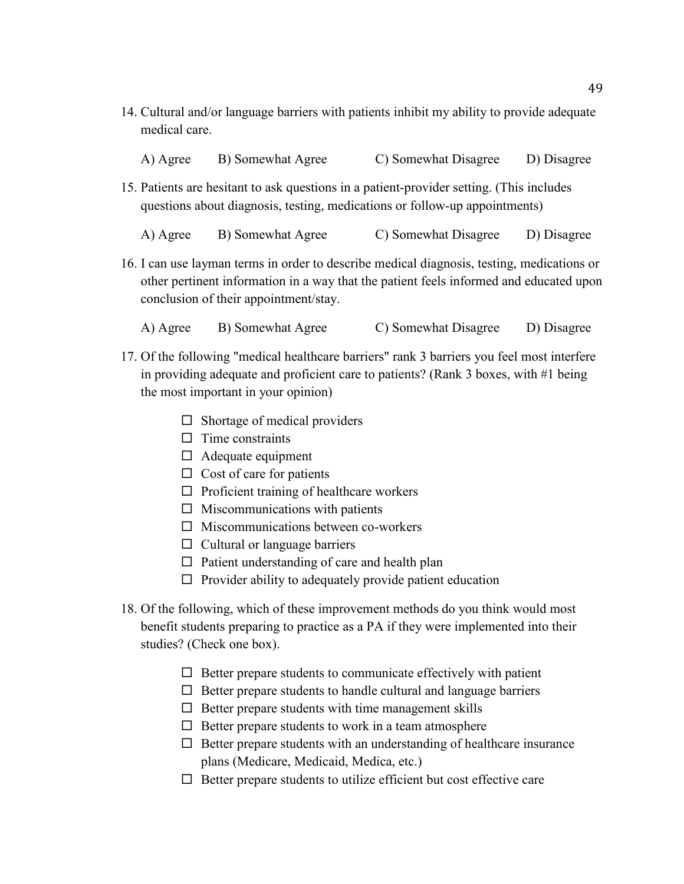14. Cultural and/or language barriers with patients inhibit my ability to provide adequate medical care.

| A) Agree | B) Somewhat Agree | C) Somewhat Disagree | D) Disagree |
|----------|-------------------|----------------------|-------------|
|          |                   |                      |             |

15. Patients are hesitant to ask questions in a patient-provider setting. (This includes questions about diagnosis, testing, medications or follow-up appointments)

A) Agree B) Somewhat Agree C) Somewhat Disagree D) Disagree

16. I can use layman terms in order to describe medical diagnosis, testing, medications or other pertinent information in a way that the patient feels informed and educated upon conclusion of their appointment/stay.

A) Agree B) Somewhat Agree C) Somewhat Disagree D) Disagree

- 17. Of the following "medical healthcare barriers" rank 3 barriers you feel most interfere in providing adequate and proficient care to patients? (Rank 3 boxes, with #1 being the most important in your opinion)
	- $\square$  Shortage of medical providers
	- $\Box$  Time constraints
	- $\Box$  Adequate equipment
	- $\Box$  Cost of care for patients
	- $\Box$  Proficient training of healthcare workers
	- $\Box$  Miscommunications with patients
	- $\Box$  Miscommunications between co-workers
	- $\Box$  Cultural or language barriers
	- $\Box$  Patient understanding of care and health plan
	- $\Box$  Provider ability to adequately provide patient education
- 18. Of the following, which of these improvement methods do you think would most benefit students preparing to practice as a PA if they were implemented into their studies? (Check one box).
	- $\Box$  Better prepare students to communicate effectively with patient
	- $\Box$  Better prepare students to handle cultural and language barriers
	- $\Box$  Better prepare students with time management skills
	- $\Box$  Better prepare students to work in a team atmosphere
	- $\Box$  Better prepare students with an understanding of healthcare insurance plans (Medicare, Medicaid, Medica, etc.)
	- $\Box$  Better prepare students to utilize efficient but cost effective care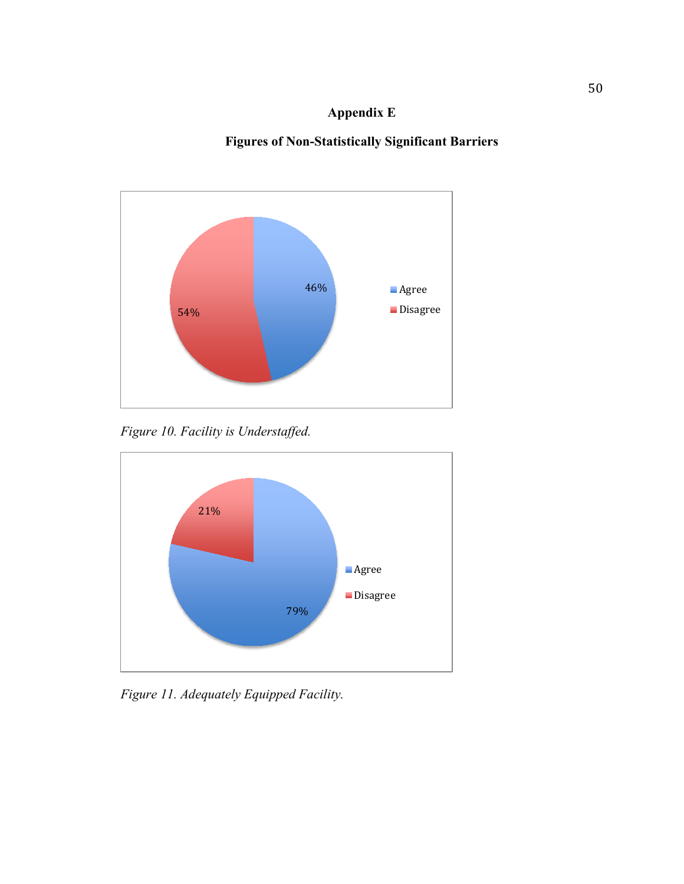# **Appendix E**

# **Figures of Non-Statistically Significant Barriers**



*Figure 10. Facility is Understaffed.* 



*Figure 11. Adequately Equipped Facility.*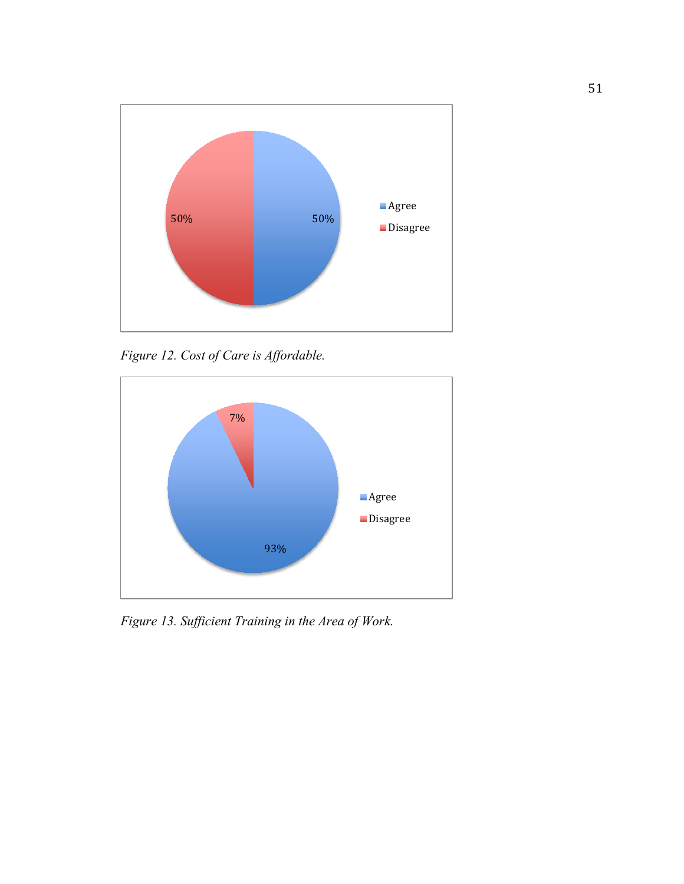

*Figure 12. Cost of Care is Affordable.* 



*Figure 13. Sufficient Training in the Area of Work.*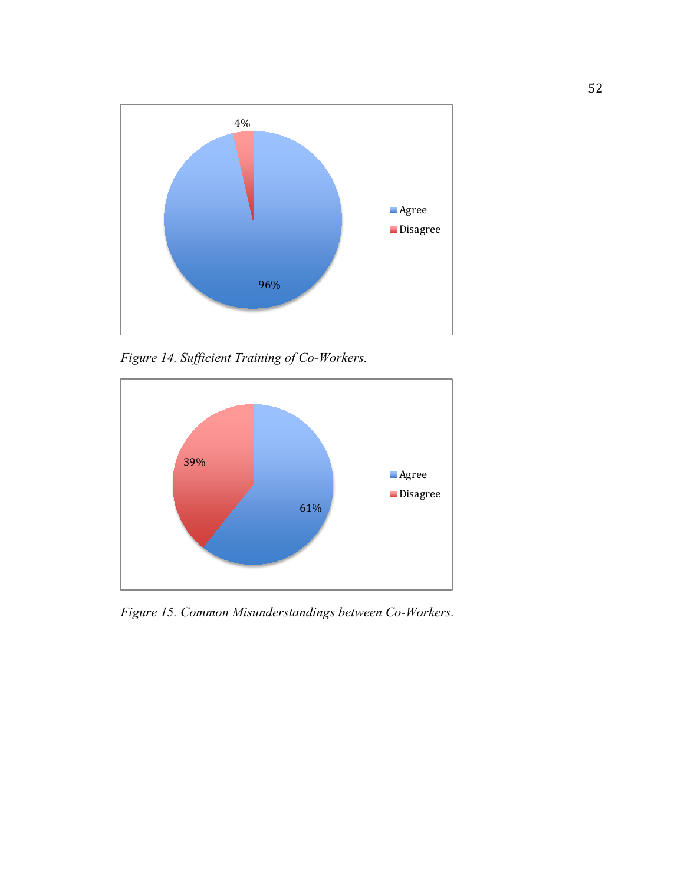

*Figure 14. Sufficient Training of Co-Workers.*



*Figure 15. Common Misunderstandings between Co-Workers.*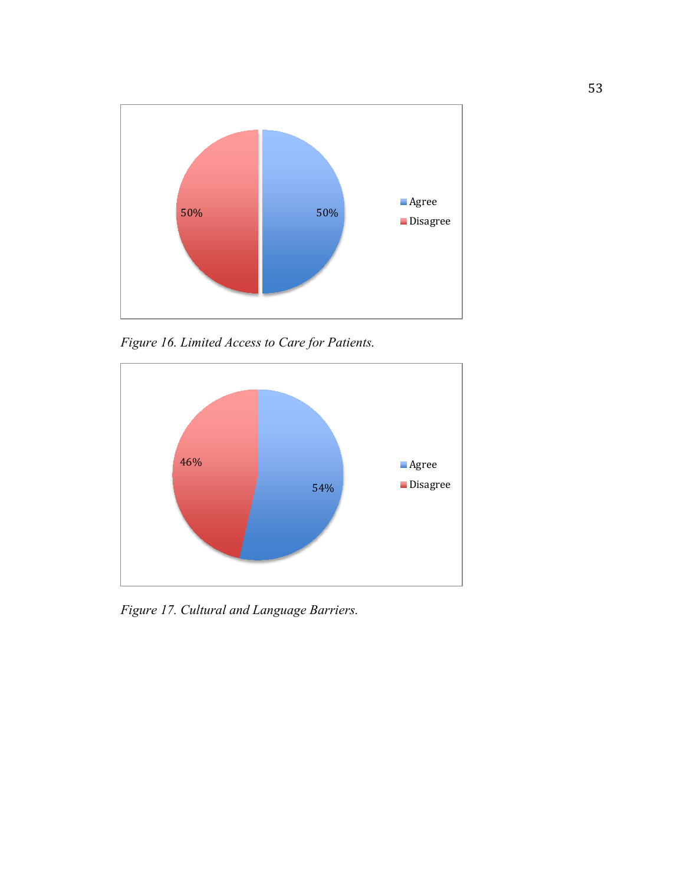

*Figure 16. Limited Access to Care for Patients.* 



*Figure 17. Cultural and Language Barriers.*